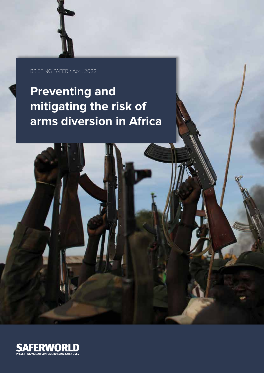BRIEFING PAPER / April 2022

# **Preventing and mitigating the risk of arms diversion in Africa**

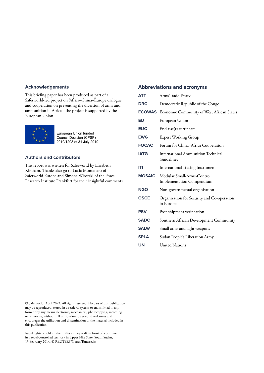## **Acknowledgements**

This briefing paper has been produced as part of a Saferworld-led project on 'Africa–China–Europe dialogue and cooperation on preventing the diversion of arms and ammunition in Africa'. The project is supported by the European Union.



European Union funded Council Decision (CFSP) 2019/1298 of 31 July 2019

# **Authors and contributors**

This report was written for Saferworld by Elizabeth Kirkham. Thanks also go to Lucia Montanaro of Saferworld Europe and Simone Wisotzki of the Peace Research Institute Frankfurt for their insightful comments.

## **Abbreviations and acronyms**

| <b>ATT</b>    | Arms Trade Treaty                                              |
|---------------|----------------------------------------------------------------|
| <b>DRC</b>    | Democratic Republic of the Congo                               |
|               | <b>ECOWAS</b> Economic Community of West African States        |
| EU            | European Union                                                 |
| <b>EUC</b>    | $End$ -use $(r)$ certificate                                   |
| <b>EWG</b>    | <b>Expert Working Group</b>                                    |
| <b>FOCAC</b>  | Forum for China-Africa Cooperation                             |
| <b>IATG</b>   | <b>International Ammunition Technical</b><br>Guidelines        |
| IТI           | <b>International Tracing Instrument</b>                        |
| <b>MOSAIC</b> | Modular Small-Arms-Control<br><b>Implementation Compendium</b> |
|               |                                                                |
| <b>NGO</b>    | Non-governmental organisation                                  |
| <b>OSCE</b>   | Organization for Security and Co-operation<br>in Europe        |
| <b>PSV</b>    | Post-shipment verification                                     |
| <b>SADC</b>   | Southern African Development Community                         |
| <b>SALW</b>   | Small arms and light weapons                                   |
| <b>SPLA</b>   | Sudan People's Liberation Army                                 |
| UN            | <b>United Nations</b>                                          |

© Saferworld, April 2022. All rights reserved. No part of this publication may be reproduced, stored in a retrieval system or transmitted in any form or by any means electronic, mechanical, photocopying, recording or otherwise, without full attribution. Saferworld welcomes and encourages the utilisation and dissemination of the material included in this publication.

Rebel fighters hold up their rifles as they walk in front of a bushfire in a rebel-controlled territory in Upper Nile State, South Sudan, 13 February 2014. © REUTERS/Goran Tomasevic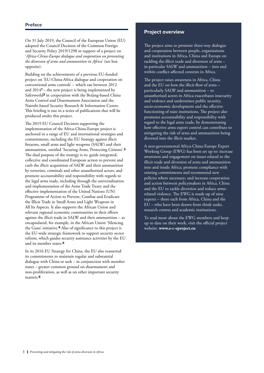On 31 July 2019, the Council of the European Union (EU) adopted the Council Decision of the Common Foreign and Security Policy 2019/1298 in support of a project on '*Africa-China-Europe dialogue and cooperation on preventing the diversion of arms and ammunition in Africa*' (see box opposite).

Building on the achievements of a previous EU-funded project on 'EU-China-Africa dialogue and cooperation on conventional arms controls' – which ran between 2012 and 2014**1** – the new project is being implemented by Saferworld**2** in cooperation with the Beijing-based China Arms Control and Disarmament Association and the Nairobi-based Security Research & Information Centre. This briefing is one in a series of publications that will be produced under this project.

The 2019 EU Council Decision supporting the implementation of the Africa-China-Europe project is anchored in a range of EU and international strategies and commitments, including the EU Strategy against illicit firearms, small arms and light weapons (SALW) and their ammunition, entitled 'Securing Arms, Protecting Citizens'.**<sup>3</sup>** The dual purpose of the strategy is to: guide integrated, collective and coordinated European action to prevent and curb the illicit acquisition of SALW and their ammunition by terrorists, criminals and other unauthorised actors; and promote accountability and responsibility with regards to the legal arms trade, including through the universalisation and implementation of the Arms Trade Treaty and the effective implementation of the United Nations (UN) Programme of Action to Prevent, Combat and Eradicate the Illicit Trade in Small Arms and Light Weapons in All Its Aspects. It also supports the African Union and relevant regional economic communities in their efforts against the illicit trade in SALW and their ammunition – as encapsulated, for example, in the African Union 'Silencing the Guns' initiative.**4** Also of significance to this project is the EU-wide strategic framework to support security sector reform, which guides security assistance activities by the EU and its member states.**<sup>5</sup>**

In its 2016 EU Strategy for China, the EU also reasserted its commitments to maintain regular and substantial dialogue with China to seek – in conjunction with member states – greater common ground on disarmament and non-proliferation, as well as on other important security matters.**<sup>6</sup>**

# **Project overview**

The project aims to promote three-way dialogue and cooperation between people, organisations and institutions in Africa, China and Europe on tackling the illicit trade and diversion of arms – in particular SALW and ammunition – into and within conflict-affected contexts in Africa.

The project raises awareness in Africa, China and the EU on how the illicit flow of arms – particularly SALW and ammunition – to unauthorised actors in Africa exacerbates insecurity and violence and undermines public security, socio-economic development and the effective functioning of state institutions. The project also promotes accountability and responsibility with regard to the legal arms trade, by demonstrating how effective arms export control can contribute to mitigating the risk of arms and ammunition being diverted into the illicit market.

A non-governmental Africa-China-Europe Expert Working Group (EWG) has been set up to: increase awareness and engagement on issues related to the illicit trade and diversion of arms and ammunition into and inside Africa; promote compliance with existing commitments and recommend new policies where necessary; and increase cooperation and action between policymakers in Africa, China and the EU to tackle diversion and reduce armsrelated violence. The EWG is made up of nine experts – three each from Africa, China and the EU – who have been drawn from think tanks, research centres and academic institutions.

To read more about the EWG members and keep up to date on their work, visit the official project website: **[www.a-c-eproject.eu](http://www.a-c-eproject.eu)**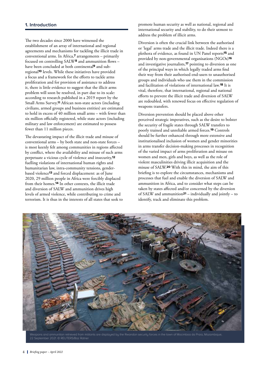The two decades since 2000 have witnessed the establishment of an array of international and regional agreements and mechanisms for tackling the illicit trade in conventional arms. In Africa,**7** arrangements – primarily focused on controlling SALW**8** and ammunition flows – have been concluded at both continental**9** and subregional**10** levels. While these initiatives have provided a focus and a framework for the efforts to tackle arms proliferation and for provision of assistance to address it, there is little evidence to suggest that the illicit arms problem will soon be resolved, in part due to its scale: according to research published in a 2019 report by the Small Arms Survey,**11** African non-state actors (including civilians, armed groups and business entities) are estimated to hold in excess of 40 million small arms – with fewer than six million officially registered, while state actors (including military and law enforcement) are estimated to possess fewer than 11 million pieces.

The devastating impact of the illicit trade and misuse of conventional arms – by both state and non-state forces – is most keenly felt among communities in regions affected by conflict, where the availability and misuse of such arms perpetuate a vicious cycle of violence and insecurity,**<sup>12</sup>** fuelling violations of international human rights and humanitarian law, intra-community tensions, genderbased violence**13** and forced displacement: as of June 2020, 29 million people in Africa were forcibly displaced from their homes.**14** In other contexts, the illicit trade and diversion of SALW and ammunition drives high levels of armed violence, while contributing to crime and terrorism. It is thus in the interests of all states that seek to

promote human security as well as national, regional and international security and stability, to do their utmost to address the problem of illicit arms.

Diversion is often the crucial link between the authorised or 'legal' arms trade and the illicit trade. Indeed there is a plethora of evidence, as found in UN Panel reports**15** and provided by non-governmental organisations (NGOs)**<sup>16</sup>** and investigative journalists,**17** pointing to diversion as one of the principal ways in which legally traded arms find their way from their authorised end-users to unauthorised groups and individuals who use them in the commission and facilitation of violations of international law.**18** It is vital, therefore, that international, regional and national efforts to prevent the illicit trade and diversion of SALW are redoubled, with renewed focus on effective regulation of weapons transfers.

Diversion prevention should be placed above other perceived strategic imperatives, such as the desire to bolster the security of fragile states through SALW transfers to poorly trained and unreliable armed forces.**19** Controls should be further enhanced through more extensive and institutionalised inclusion of women and gender minorities in arms transfer decision-making processes in recognition of the varied impact of arms proliferation and misuse on women and men, girls and boys, as well as the role of violent masculinities driving illicit acquisition and the misuse of SALW.**20** With this in mind, the aim of this briefing is to explore the circumstances, mechanisms and processes that fuel and enable the diversion of SALW and ammunition in Africa, and to consider what steps can be taken by states affected and/or concerned by the diversion of SALW and ammunition**21** – individually and jointly – to identify, track and eliminate this problem.



22 September 2021. © REUTERS/Baz Ratner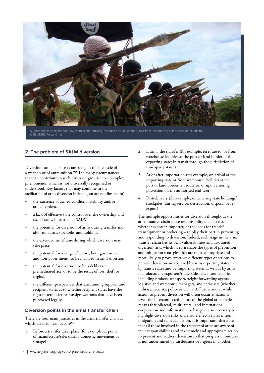

# **2. The problem of SALW diversion**

Diversion can take place at any stage in the life cycle of a weapon or of ammunition.**22** The many circumstances that can contribute to such diversion give rise to a complex phenomenon which is not universally recognised or understood. Key factors that may combine in the facilitation of arms diversion include (but are not limited to):

- the existence of armed conflict, instability and/or armed violence
- a lack of effective state control over the ownership and use of arms, in particular SALW
- the potential for diversion of arms during transfer and also from arms stockpiles and holdings
- the extended timeframe during which diversion may take place
- the potential for a range of actors, both government and non-government, to be involved in arms diversion
- the potential for diversion to be a deliberate, premeditated act, or to be the result of loss, theft or neglect
- the different perspectives that exist among supplier and recipient states as to whether recipient states have the right to retransfer or reassign weapons that have been purchased legally.

## **Diversion points in the arms transfer chain**

There are four main junctures in the arms transfer chain at which diversion can occur:**<sup>23</sup>**

1. Before a transfer takes place (for example, at point of manufacture/sale; during domestic movement or storage)

- 2. During the transfer (for example, en route to, or from, warehouse facilities at the port or land border of the exporting state; in transit through the jurisdiction of third-party states)
- 3. At or after importation (for example, on arrival at the importing state or from warehouse facilities at the port or land border; en route to, or upon entering possession of, the authorised end-user)
- 4. Post-delivery (for example, on entering state holdings/ stockpiles; during service, destruction, disposal or reexport)

The multiple opportunities for diversion throughout the arms transfer chain place responsibility on all states – whether exporter, importer, or the locus for transit/ transhipment or brokering – to play their part in preventing and responding to diversion. Indeed, each stage in the arms transfer chain has its own vulnerabilities and associated diversion risks which in turn shape the types of prevention and mitigation strategies that are most appropriate and most likely to prove effective: different types of actions to prevent diversion are required by arms exporting states, by transit states and by importing states as well as by arms manufacturers, exporters/traders/dealers, intermediaries including brokers, transport/freight forwarding agents, logistics and warehouse managers, and end-users (whether military, security, police or civilian). Furthermore, while action to prevent diversion will often occur at national level, the interconnected nature of the global arms trade means that bilateral, multilateral, and international cooperation and information exchange is also necessary to highlight diversion risks and ensure effective prevention, mitigation and remedial action. It is important, therefore, that all those involved in the transfer of arms are aware of their responsibilities and take timely and appropriate action to prevent and address diversion so that progress in one area is not undermined by carelessness or neglect in another.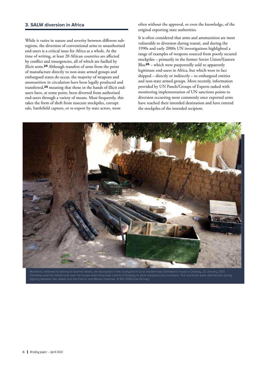## **3. SALW diversion in Africa**

While it varies in nature and severity between different subregions, the diversion of conventional arms to unauthorised end-users is a critical issue for Africa as a whole. At the time of writing, at least 20 African countries are affected by conflict and insurgencies, all of which are fuelled by illicit arms.**24** Although transfers of arms from the point of manufacture directly to non-state armed groups and embargoed states do occur, the majority of weapons and ammunition in circulation have been legally produced and transferred,**25** meaning that those in the hands of illicit endusers have, at some point, been diverted from authorised end-users through a variety of means. Most frequently, this takes the form of theft from insecure stockpiles, corrupt sale, battlefield capture, or re-export by state actors, most

often without the approval, or even the knowledge, of the original exporting state authorities.

It is often considered that arms and ammunition are most vulnerable to diversion during transit, and during the 1990s and early 2000s UN investigations highlighted a range of examples of weapons sourced from poorly secured stockpiles – primarily in the former Soviet Union/Eastern Bloc**26** – which were purportedly sold to apparently legitimate end-users in Africa, but which were in fact shipped – directly or indirectly – to embargoed entities and non-state armed groups. More recently, information provided by UN Panels/Groups of Experts tasked with monitoring implementation of UN sanctions points to diversion occurring most commonly once exported arms have reached their intended destination and have entered the stockpiles of the intended recipient.



Dembele said the rebels took over his house when they took control of Diabaly to store weapons and munitions. The munitions were abandoned during fighting between the rebels and the French and Malian militaries. © REUTERS/Joe Penney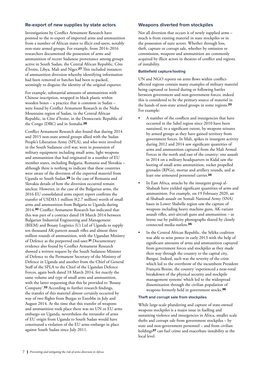## **Re-export of new supplies by state actors**

Investigations by Conflict Armament Research have pointed to the re-export of imported arms and ammunition from a number of African states to illicit end-users, notably non-state armed groups. For example, from 2014–2016 researchers documented the possession of arms and ammunition of recent Sudanese provenance among groups active in South Sudan, the Central African Republic, Côte d'Ivoire, Libya, Mali and Niger.**27** This included instances of ammunition diversion whereby identifying information had been removed or batches had been re-packed, seemingly to disguise the identity of the original exporter.

For example, substantial amounts of ammunition with Chinese inscription, wrapped in black plastic within wooden boxes – a practice that is common in Sudan – were found by Conflict Armament Research in the Nuba Mountains region of Sudan, in the Central African Republic, in Côte d'Ivoire, in the Democratic Republic of the Congo (DRC) and in Somalia.**<sup>28</sup>**

Conflict Armament Research also found that during 2014 and 2015 non-state armed groups allied with the Sudan People's Liberation Army (SPLA), and who were involved in the South Sudanese civil war, were in possession of military equipment including small arms, light weapons and ammunition that had originated in a number of EU member states, including Bulgaria, Romania and Slovakia – although there is nothing to indicate that these countries were aware of the diversion of the exported materiel from Uganda to South Sudan.**29** In the case of Romania and Slovakia details of how the diversion occurred remain unclear. However, in the case of the Bulgarian arms, the 2016 EU consolidated arms export report confirms the transfer of USD\$3.1 million (€2.7 million) worth of small arms and ammunition from Bulgaria to Uganda during 2014.**30** Conflict Armament Research has indicated that this was part of a contract dated 18 March 2014 between Bulgarian Industrial Engineering and Management (BIEM) and Bosasy Logistics (U) Ltd of Uganda to supply ten thousand AK-pattern assault rifles and almost three million rounds of ammunition, with the Ugandan Ministry of Defence as the purported end-user.**31** Documentary evidence also found by Conflict Armament Research showed a written request by the South Sudanese Minister of Defence to the Permanent Secretary of the Ministry of Defence in Uganda and another from the Chief of General Staff of the SPLA to the Chief of the Ugandan Defence Forces, again both dated 18 March 2014, for exactly the same volume and type of small arms and ammunition, with the latter requesting that this be provided to 'Bosasy Company'.**32** According to further research findings, the transfer of this materiel almost certainly occurred by way of two flights from Burgas to Entebbe in July and August 2014. At the time that this transfer of weapons and ammunition took place there was no UN or EU arms embargo on Uganda; nevertheless the retransfer of arms of EU origin from Uganda to South Sudan would have constituted a violation of the EU arms embargo in place against South Sudan since July 2011.

## **Weapons diverted from stockpiles**

Not all diversion that occurs is of newly supplied arms – much is from existing materiel in state stockpiles or in the possession of state actors. Whether through loss, theft, capture or corrupt sale, whether by omission or commission, weapons and ammunition are commonly acquired by illicit actors in theatres of conflict and regions of instability.

## **Battlefield capture/looting**

UN and NGO reports on arms flows within conflictaffected regions contain many examples of military materiel being captured or looted during or following battles between government and non-government forces; indeed this is considered to be the primary source of materiel in the hands of non-state armed groups in some regions.**<sup>33</sup>** For example:

- A number of the conflicts and insurgencies that have occurred in the Sahel region since 2010 have been sustained, to a significant extent, by weapons seizures by armed groups as they have gained territory from government forces. In Mali, spikes in insurgent activity during 2012 and 2014 saw significant quantities of arms and ammunition captured from the Mali Armed Forces in the north and east of the country: one assault in 2014 on a military headquarters in Kidal saw the looting of small arms ammunition, rocket propelled grenades (RPGs), mortar and artillery rounds, and at least one armoured personnel carrier.**<sup>34</sup>**
- In East Africa, attacks by the insurgent group al-Shabaab have yielded significant quantities of arms and ammunition. For example, on 19 February 2020, an al-Shabaab assault on Somali National Army (SNA) bases in Lower Shabelle region saw the capture of weapons including heavy machine guns, AK-variant assault rifles, anti-aircraft guns and ammunition – as borne out by publicity photographs shared by closely connected media outlets.**<sup>35</sup>**
- In the Central African Republic, the Séléka coalition was able to seize power in early 2013 with the help of significant amounts of arms and ammunition captured from government forces and stockpiles as they made their way through the country to the capital city, Bangui. Indeed, such was the severity of the crisis which led to the overthrow of the incumbent President François Bozize, the country 'experienced a near-total breakdown of the physical security and stockpile management systems' which led to the widespread dissemination through the civilian population of weapons formerly held in government stocks.**<sup>36</sup>**

### **Theft and corrupt sale from stockpiles**

While large-scale plundering and capture of state-owned weapons stockpiles is a major issue in fuelling and sustaining violence and insurgencies in Africa, smaller scale thefts and corrupt sale from government stockpiles – by state and non-government personnel – and from civilian holdings**37** can fuel crime and exacerbate instability at the local level.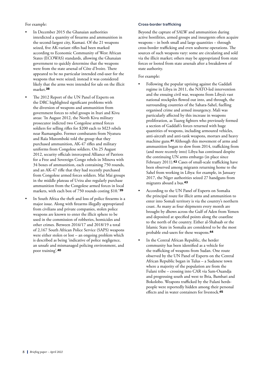For example:

- In December 2015 the Ghanaian authorities interdicted a quantity of firearms and ammunition in the second-largest city, Kumasi. Of the 21 weapons seized, five AK-variant rifles had been marked according to Economic Community of West African States (ECOWAS) standards, allowing the Ghanaian government to quickly determine that the weapons were from the state arsenal of Côte d'Ivoire. There appeared to be no particular intended end-user for the weapons that were seized; instead it was considered likely that the arms were intended for sale on the illicit market.**<sup>38</sup>**
- The 2012 Report of the UN Panel of Experts on the DRC highlighted significant problems with the diversion of weapons and ammunition from government forces to rebel groups in Ituri and Kivu areas: 'In August 2012, the North Kivu military prosecutor indicted two Congolese armed forces soldiers for selling rifles for \$200 each to M23 rebels near Rumangabo. Former combatants from Nyatura and Raïa Mutomboki told the group that they purchased ammunition, AK-47 rifles and military uniforms from Congolese soldiers. On 25 August 2012, security officials intercepted Alliance of Patriots for a Free and Sovereign Congo rebels in Minova with 34 boxes of ammunition, each containing 750 rounds, and an AK-47 rifle that they had recently purchased from Congolese armed forces soldiers. Mai Mai groups in the middle plateau of Uvira also regularly purchase ammunition from the Congolese armed forces in local markets, with each box of 750 rounds costing \$10.'**<sup>39</sup>**
- In South Africa the theft and loss of police firearms is a major issue. Along with firearms illegally appropriated from civilians and private companies, stolen police weapons are known to enter the illicit sphere to be used in the commission of robberies, homicides and other crimes. Between 2016/17 and 2018/19 a total of 2,167 South African Police Service (SAPS) weapons were either stolen or lost – an ongoing problem which is described as being 'indicative of police negligence, an unsafe and mismanaged policing environment, and poor training'.**<sup>40</sup>**

#### **Cross-border trafficking**

Beyond the capture of SALW and ammunition during active hostilities, armed groups and insurgents often acquire weapons – in both small and large quantities – through cross-border trafficking and even seaborne operations. The sources of such weapons vary: some are circulating and sold via the illicit market; others may be appropriated from state forces or looted from state arsenals after a breakdown of state authority.

### For example:

- Following the popular uprising against the Gaddafi regime in Libya in 2011, the NATO-led intervention and the ensuing civil war, weapons from Libya's vast national stockpiles flowed out into, and through, the surrounding countries of the Sahara-Sahel, fuelling organised crime and armed insurgency. Mali was particularly affected by this increase in weapons proliferation, as Tuareg fighters who previously formed a section of Gaddafi's forces returned with huge quantities of weapons, including armoured vehicles, anti-aircraft and anti-tank weapons, mortars and heavy machine guns.**41** Although this movement of arms and ammunition began to slow from 2014, trafficking from (and more recently into) Libya has continued despite the continuing UN arms embargo (in place since February 2011).**42** Cases of small-scale trafficking have been observed among migrants returning home to the Sahel from working in Libya: for example, in January 2017, the Niger authorities seized 27 handguns from migrants aboard a bus.**<sup>43</sup>**
- According to the UN Panel of Experts on Somalia the principal route for illicit arms and ammunition to enter into Somali territory is via the country's northern coast. As many as four shipments every month are brought by dhows across the Gulf of Aden from Yemen and deposited at specified points along the coastline to the north of the country. Either al-Shabaab or the Islamic State in Somalia are considered to be the most probable end-users for these weapons.**<sup>44</sup>**
- In the Central African Republic, the herder community has been identified as a vehicle for the trafficking of weapons from Sudan. One route observed by the UN Panel of Experts on the Central African Republic began in Tulus – a Sudanese town where a majority of the population are from the Fulani tribe – crossing into CAR via Sam-Ouandja and progressing south and west to Bria, Bambari and Bokolobo. Weapons trafficked by the Fulani herdspeople were reportedly hidden among their personal effects and in water containers for livestock.**45**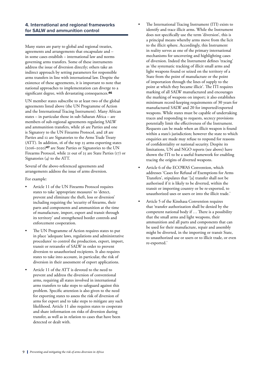## **4. International and regional frameworks for SALW and ammunition control**

Many states are party to global and regional treaties, agreements and arrangements that encapsulate and – in some cases establish – international law and norms governing arms transfers. Some of these instruments address the issue of diversion directly; others take an indirect approach by setting parameters for responsible arms transfers in line with international law. Despite the existence of these agreements, it is important to note that national approaches to implementation can diverge to a significant degree, with devastating consequences.**<sup>46</sup>**

UN member states subscribe to at least two of the global agreements listed above (the UN Programme of Action and the International Tracing Instrument). Many African states – in particular those in sub-Saharan Africa – are members of sub-regional agreements regulating SALW and ammunition transfers, while 36 are Parties and one is Signatory to the UN Firearms Protocol, and 28 are Parties and 12 are Signatories to the Arms Trade Treaty (ATT). In addition, 16 of the top 25 arms exporting states (2016–2020)**47** are State Parties or Signatories to the UN Firearms Protocol, while 21 out of 25 are State Parties (17) or Signatories (4) to the ATT.

Several of the above-referenced agreements and arrangements address the issue of arms diversion.

For example:

- Article 11 of the UN Firearms Protocol requires states to take 'appropriate measures' to 'detect, prevent and eliminate the theft, loss or diversion' including requiring the 'security of firearms, their parts and components and ammunition at the time of manufacture, import, export and transit through its territory' and strengthened border controls and enforcement cooperation.
- The UN Programme of Action requires states to put in place 'adequate laws, regulations and administrative procedures' to control the production, export, import, transit or retransfer of SALW in order to prevent diversion to unauthorised recipients. It also requires states to take into account, in particular, the risk of diversion in their assessment of export applications.
- Article 11 of the ATT is devoted to the need to prevent and address the diversion of conventional arms, requiring all states involved in international arms transfers to take steps to safeguard against this problem. Specific attention is also given to the need for exporting states to assess the risk of diversion of arms for export and to take steps to mitigate any such likelihood. Article 11 also requires states to cooperate and share information on risks of diversion during transfer, as well as in relation to cases that have been detected or dealt with.
- The International Tracing Instrument (ITI) exists to identify and trace illicit arms. While the Instrument does not specifically use the term 'diversion', this is a principal means whereby arms move from the licit to the illicit sphere. Accordingly, this Instrument in reality serves as one of the primary international mechanisms for uncovering and highlighting cases of diversion. Indeed the Instrument defines 'tracing' as 'the systematic tracking of illicit small arms and light weapons found or seized on the territory of a State from the point of manufacture or the point of importation through the lines of supply to the point at which they became illicit'. The ITI requires marking of all SALW manufactured and encourages the marking of weapons on import; it also establishes minimum record-keeping requirements of 30 years for manufactured SALW and 20 for imported/exported weapons. While states must be capable of undertaking traces and responding to requests, secrecy provisions potentially limit the effectiveness of the Instrument. Requests can be made when an illicit weapon is found within a state's jurisdiction; however the state to which enquiries are made may refuse to respond for reasons of confidentiality or national security. Despite its limitations, UN and NGO reports (see above) have shown the ITI to be a useful framework for enabling tracing the origins of diverted weapons.
- Article 6 of the ECOWAS Convention, which addresses 'Cases for Refusal of Exemptions for Arms Transfers', stipulates that '[a] transfer shall not be authorised if it is likely to be diverted, within the transit or importing country or be re-exported, to unauthorized uses or users or into the illicit trade.'
- Article 5 of the Kinshasa Convention requires that 'transfer authorization shall be denied by the competent national body if ... There is a possibility that the small arms and light weapons, their ammunition and all parts and components that can be used for their manufacture, repair and assembly might be diverted, in the importing or transit State, to unauthorized use or users or to illicit trade, or even re-exported.'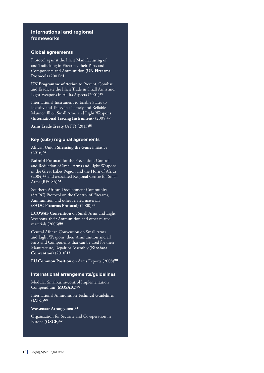# **International and regional frameworks**

## **Global agreements**

Protocol against the Illicit Manufacturing of and Trafficking in Firearms, their Parts and Components and Ammunition (**UN Firearms Protocol**) (2001)**<sup>48</sup>**

**UN Programme of Action** to Prevent, Combat and Eradicate the Illicit Trade in Small Arms and Light Weapons in All Its Aspects (2001)**<sup>49</sup>**

International Instrument to Enable States to Identify and Trace, in a Timely and Reliable Manner, Illicit Small Arms and Light Weapons (**International Tracing Instrument**) (2005)**<sup>50</sup>**

**Arms Trade Treaty** (ATT) (2013)**<sup>51</sup>**

## **Key (sub-) regional agreements**

African Union **Silencing the Guns** initiative (2016)**<sup>52</sup>**

**Nairobi Protocol** for the Prevention, Control and Reduction of Small Arms and Light Weapons in the Great Lakes Region and the Horn of Africa (2004)**<sup>53</sup>** and associated Regional Centre for Small Arms (RECSA)**<sup>54</sup>**

Southern African Development Community (SADC) Protocol on the Control of Firearms, Ammunition and other related materials (**SADC Firearms Protocol**) (2000)**<sup>55</sup>**

**ECOWAS Convention** on Small Arms and Light Weapons, their Ammunition and other related materials (2006)**<sup>56</sup>**

Central African Convention on Small Arms and Light Weapons, their Ammunition and all Parts and Components that can be used for their Manufacture, Repair or Assembly (**Kinshasa Convention**) (2010)**<sup>57</sup>**

**EU Common Position** on Arms Exports (2008)**<sup>58</sup>**

## **International arrangements/guidelines**

Modular Small-arms-control Implementation Compendium (**MOSAIC**)**<sup>59</sup>**

International Ammunition Technical Guidelines (**IATG**)**<sup>60</sup>**

## **Wassenaar Arrangement<sup>61</sup>**

Organization for Security and Co-operation in Europe (**OSCE**)**62**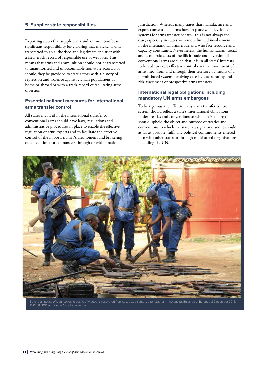## **5. Supplier state responsibilities**

Exporting states that supply arms and ammunition bear significant responsibility for ensuring that materiel is only transferred to an authorised and legitimate end-user with a clear track record of responsible use of weapons. This means that arms and ammunition should not be transferred to unauthorised and unaccountable non-state actors; nor should they be provided to state actors with a history of repression and violence against civilian populations at home or abroad or with a track record of facilitating arms diversion.

# **Essential national measures for international arms transfer control**

All states involved in the international transfer of conventional arms should have laws, regulations and administrative procedures in place to enable the effective regulation of arms exports and to facilitate the effective control of the import, transit/transhipment and brokering of conventional arms transfers through or within national

jurisdiction. Whereas many states that manufacture and export conventional arms have in place well-developed systems for arms transfer control, this is not always the case, especially in states with more limited involvement in the international arms trade and who face resource and capacity constraints. Nevertheless, the humanitarian, social and economic costs of the illicit trade and diversion of conventional arms are such that it is in all states' interests to be able to exert effective control over the movement of arms into, from and through their territory by means of a permit-based system involving case-by-case scrutiny and risk assessment of prospective arms transfers.

## **International legal obligations including mandatory UN arms embargoes**

To be rigorous and effective, any arms transfer control system should reflect a state's international obligations under treaties and conventions to which it is a party; it should uphold the object and purpose of treaties and conventions to which the state is a signatory; and it should, as far as possible, fulfil any political commitments entered into with other states or through multilateral organisations, including the UN.

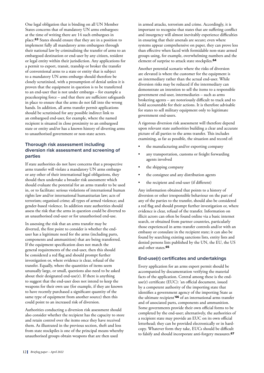One legal obligation that is binding on all UN Member States concerns that of mandatory UN arms embargoes: at the time of writing there are 14 such embargoes in place.**63** States should ensure that they are in a position to implement fully all mandatory arms embargoes through their national law by criminalising the transfer of arms to an embargoed destination or end-user by any citizen, resident or legal entity within their jurisdiction. Any applications for a permit to export, transit, tranship or broker the transfer of conventional arms to a state or entity that is subject to a mandatory UN arms embargo should therefore be closely scrutinised, with a presumption of denial unless it is proven that the equipment in question is to be transferred to an end-user that is not under embargo – for example a peacekeeping force – and that there are sufficient safeguards in place to ensure that the arms do not fall into the wrong hands. In addition, all arms transfer permit applications should be scrutinised for any possible indirect link to an embargoed end-user, for example, where the named recipient is situated in close proximity to an embargoed state or entity and/or has a known history of diverting arms to unauthorised government or non-state actors.

# **Thorough risk assessment including diversion risk assessment and screening of parties**

If state authorities do not have concerns that a prospective arms transfer will violate a mandatory UN arms embargo or any other of their international legal obligations, they should then undertake a broader risk assessment which should evaluate the potential for an arms transfer to be used in, or to facilitate: serious violations of international human rights law and/or international humanitarian law; acts of terrorism; organised crime; all types of armed violence; and gender-based violence. In addition state authorities should assess the risk that the arms in question could be diverted to an unauthorised end-user or for unauthorised end-use.

In assessing the risk that an arms transfer may be diverted, the first point to consider is whether the enduser has a legitimate need for the arms (including parts, components and ammunition) that are being transferred. If the equipment specification does not match the general requirements of the end-user, then this should be considered a red flag and should prompt further investigation or, where evidence is clear, refusal of the transfer. Equally, where the quantities of items seem unusually large, or small, questions also need to be asked about their designated end-use(r). If there is anything to suggest that the end-user does not intend to keep the weapons for their own use (for example, if they are known to have recently purchased a significant quantity of the same type of equipment from another source) then this could point to an increased risk of diversion.

Authorities conducting a diversion risk assessment should also consider whether the recipient has the capacity to store and retain control over the items once they have received them. As illustrated in the previous section, theft and loss from state stockpiles is one of the principal means whereby unauthorised groups obtain weapons that are then used

in armed attacks, terrorism and crime. Accordingly, it is important to recognise that states that are suffering conflict and insurgency will almost inevitably experience difficulties in ensuring that their arsenals are secure; even where systems appear comprehensive on paper, they can prove less than effective when faced with formidable non-state armed groups using, for example, overwhelming numbers and the element of surprise to attack state stockpiles.**<sup>64</sup>**

Another potential scenario where the risks of diversion are elevated is where the customer for the equipment is an intermediary rather than the actual end-user. While diversion risks may be reduced if the intermediary can demonstrate an intention to sell the items to a responsible government end-user, intermediaries – such as arms brokering agents – are notoriously difficult to track and to hold accountable for their actions. It is therefore advisable for states to sell military equipment only to legitimate government end-users.

A rigorous diversion risk assessment will therefore depend upon relevant state authorities building a clear and accurate picture of all parties to the arms transfer. This includes examining, as far as possible, the situation and record of:

- the manufacturing and/or exporting company
- any transportation, customs or freight forwarding agents involved
- the shipping company
- the consignee and any distribution agents
- the recipient and end-user (if different)

Any information obtained that points to a history of diversion or other irresponsible behaviour on the part of any of the parties to the transfer, should also be considered a red flag and should prompt further investigation or, where evidence is clear, refusal of the transfer. Information on illicit actors can often be found online via a basic internet search, or obtained from partner countries, particularly those experienced in arms transfer controls and/or with an embassy or consulate in the recipient state; it can also be found by searching existing sanctions lists, entity lists and denied persons lists published by the UN, the EU, the US and other states.**<sup>65</sup>**

## **End-use(r) certificates and undertakings**

Every application for an arms export permit should be accompanied by documentation verifying the material facts of the application. Central among these is the enduse(r) certificate (EUC): 'an official document, issued by a competent authority of the importing state that identifies a government agency of the importing State as the ultimate recipient'**66** of an international arms transfer and of associated parts, components and ammunition. Some governments provide their own official forms to be completed by the end-user; alternatively, the authorities of a recipient state may provide an EUC on its own official letterhead; they can be provided electronically or in hardcopy. Whatever form they take, EUCs should be difficult to falsify and should incorporate anti-forgery measures.**67**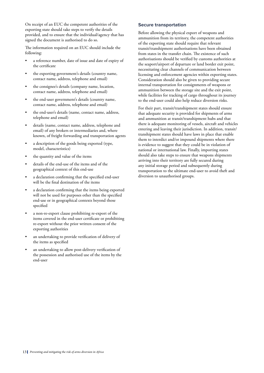On receipt of an EUC the competent authorities of the exporting state should take steps to verify the details provided, and to ensure that the individual/agency that has signed the document is authorised to do so.

The information required on an EUC should include the following:

- a reference number, date of issue and date of expiry of the certificate
- the exporting government's details (country name, contact name, address, telephone and email)
- the consignee's details (company name, location, contact name, address, telephone and email)
- the end-user government's details (country name, contact name, address, telephone and email)
- the end-user's details (name, contact name, address, telephone and email)
- details (name, contact name, address, telephone and email) of any brokers or intermediaries and, where known, of freight forwarding and transportation agents
- a description of the goods being exported (type, model, characteristics)
- the quantity and value of the items
- details of the end-use of the items and of the geographical context of this end-use
- a declaration confirming that the specified end-user will be the final destination of the items
- a declaration confirming that the items being exported will not be used for purposes other than the specified end-use or in geographical contexts beyond those specified
- a non-re-export clause prohibiting re-export of the items covered in the end-user certificate or prohibiting re-export without the prior written consent of the exporting authorities
- an undertaking to provide verification of delivery of the items as specified
- an undertaking to allow post-delivery verification of the possession and authorised use of the items by the end-user

## **Secure transportation**

Before allowing the physical export of weapons and ammunition from its territory, the competent authorities of the exporting state should require that relevant transit/transhipment authorisations have been obtained from states in the transfer chain. The existence of such authorisations should be verified by customs authorities at the seaport/airport of departure or land border exit point, necessitating clear channels of communication between licensing and enforcement agencies within exporting states. Consideration should also be given to providing secure internal transportation for consignments of weapons or ammunition between the storage site and the exit point, while facilities for tracking of cargo throughout its journey to the end-user could also help reduce diversion risks.

For their part, transit/transhipment states should ensure that adequate security is provided for shipments of arms and ammunition at transit/transhipment hubs and that there is adequate monitoring of vessels, aircraft and vehicles entering and leaving their jurisdiction. In addition, transit/ transhipment states should have laws in place that enable them to interdict and/or impound shipments where there is evidence to suggest that they could be in violation of national or international law. Finally, importing states should also take steps to ensure that weapons shipments arriving into their territory are fully secured during any initial storage period and subsequently during transportation to the ultimate end-user to avoid theft and diversion to unauthorised groups.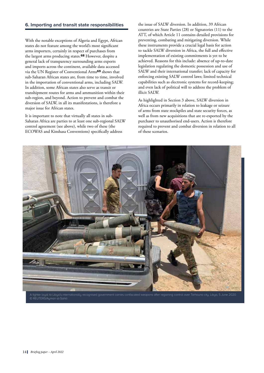## **6. Importing and transit state responsibilities**

With the notable exceptions of Algeria and Egypt, African states do not feature among the world's most significant arms importers, certainly in respect of purchases from the largest arms producing states.**68** However, despite a general lack of transparency surrounding arms exports and imports across the continent, available data accessed via the UN Register of Conventional Arms**69** shows that sub-Saharan African states are, from time to time, involved in the importation of conventional arms, including SALW. In addition, some African states also serve as transit or transhipment routes for arms and ammunition within their sub-region, and beyond. Action to prevent and combat the diversion of SALW, in all its manifestations, is therefore a major issue for African states.

It is important to note that virtually all states in sub-Saharan Africa are parties to at least one sub-regional SALW control agreement (see above), while two of these (the ECOWAS and Kinshasa Conventions) specifically address

the issue of SALW diversion. In addition, 39 African countries are State Parties (28) or Signatories (11) to the ATT, of which Article 11 contains detailed provisions for preventing, combating and mitigating diversion. While these instruments provide a crucial legal basis for action to tackle SALW diversion in Africa, the full and effective implementation of existing commitments is yet to be achieved. Reasons for this include: absence of up-to-date legislation regulating the domestic possession and use of SALW and their international transfer; lack of capacity for enforcing existing SALW control laws; limited technical capabilities such as electronic systems for record-keeping; and even lack of political will to address the problem of illicit SALW.

As highlighted in Section 3 above, SALW diversion in Africa occurs primarily in relation to leakage or seizure of arms from state stockpiles and state security forces, as well as from new acquisitions that are re-exported by the purchaser to unauthorised end-users. Action is therefore required to prevent and combat diversion in relation to all of these scenarios.



© REUTERS/Ayman al-Sahili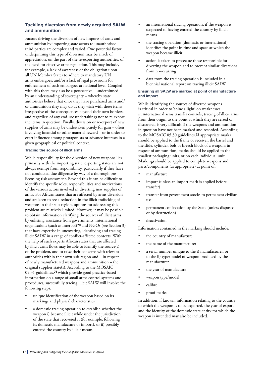# **Tackling diversion from newly acquired SALW and ammunition**

Factors driving the diversion of new imports of arms and ammunition by importing state actors to unauthorised third parties are complex and varied. One potential factor underpinning this type of diversion may be a lack of appreciation, on the part of the re-exporting authorities, of the need for effective arms regulation. This may include, for example, a lack of awareness of the obligation upon all UN Member States to adhere to mandatory UN arms embargoes, and/or a lack of legal provisions for enforcement of such embargoes at national level. Coupled with this there may also be a perspective – underpinned by an understanding of sovereignty – whereby state authorities believe that once they have purchased arms and/ or ammunition they may do as they wish with these items irrespective of the consequences beyond their own borders, and regardless of any end-use undertakings not to re-export the items in question. Finally, diversion or re-export of new supplies of arms may be undertaken purely for gain – often involving financial or other material reward – or in order to exert influence among protagonists or advance interests in a given geographical or political context.

## **Tracing the source of illicit arms**

While responsibility for the diversion of new weapons lies primarily with the importing state, exporting states are not always exempt from responsibility, particularly if they have not conducted due diligence by way of a thorough prelicensing risk assessment. Beyond this it can be difficult to identify the specific roles, responsibilities and motivations of the various actors involved in diverting new supplies of arms. For African states that are affected by arms diversion and are keen to see a reduction in the illicit trafficking of weapons in their sub-region, options for addressing this problem are relatively limited. However, it may be possible to obtain information clarifying the sources of illicit arms by enlisting assistance from governments, international organisations (such as Interpol)**70** and NGOs (see Section 3) that have expertise in uncovering, identifying and tracing illicit SALW in a range of conflict-affected contexts. With the help of such experts African states that are affected by illicit arms flows may be able to identify the source(s) of the problem, and to raise their concerns with relevant authorities within their own sub-region and – in respect of newly manufactured weapons and ammunition – the original supplier state(s). According to the MOSAIC 05.31 guidelines,**71** which provide good practice-based information on a range of small arms control systems and procedures, successfully tracing illicit SALW will involve the following steps:

- unique identification of the weapon based on its markings and physical characteristics
- a domestic tracing operation to establish whether the weapon i) became illicit while under the jurisdiction of the state that recovered it (for example, following its domestic manufacture or import), or ii) possibly entered the country by illicit means
- an international tracing operation, if the weapon is suspected of having entered the country by illicit means
- the tracing operation (domestic or international) identifies the point in time and space at which the weapon became illicit
- action is taken to prosecute those responsible for diverting the weapon and to prevent similar diversions from re-occurring
- data from the tracing operation is included in a biennial national report on tracing illicit SALW

### **Ensuring all SALW are marked at point of manufacture and import**

While identifying the sources of diverted weapons is critical in order to 'shine a light' on weaknesses in international arms transfer controls, tracing of illicit arms from their origin to the point at which they are seized or discovered is very difficult if the weapons and ammunition in question have not been marked and recorded. According to the MOSAIC 05.30 guidelines,**72** appropriate marks should be applied to the frame or receiver, the barrel and the slide, cylinder, bolt or breech block of a weapon; in respect of ammunition, marks should be applied to the smallest packaging units, or on each individual unit. Markings should be applied to complete weapons and parts/components (as appropriate) at point of:

- manufacture
- import (unless an import mark is applied before transfer)
- transfer from government stocks to permanent civilian use
- permanent confiscation by the State (unless disposed of by destruction)
- deactivation

Information contained in the marking should include:

- the country of manufacture
- the name of the manufacturer
- a serial number unique to the i) manufacturer, or to the ii) type/model of weapon produced by the manufacturer
- the year of manufacture
- weapon type/model
- calibre
- proof marks

In addition, if known, information relating to the country to which the weapon is to be exported, the year of export and the identity of the domestic state entity for which the weapon is intended may also be included.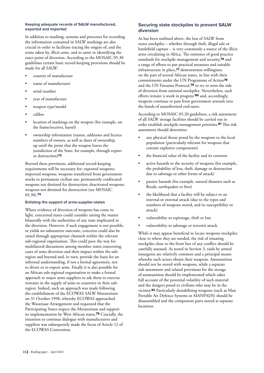#### **Keeping adequate records of SALW manufactured, exported and imported**

In addition to marking, systems and processes for recording the information contained in SALW markings are also crucial in order to facilitate tracing the origins of, and the route taken by, illicit arms, and to assist in identifying the exact point of diversion. According to the MOSAIC 05.30 guidelines certain basic record-keeping provisions should be made for all SALW:

- country of manufacture
- name of manufacturer
- serial number
- year of manufacture
- weapon type/model
- calibre
- location of markings on the weapon (for example, on the frame/receiver, barrel)
- ownership information (names, addresses and licence numbers of owners, as well as dates of ownership, up until the point that the weapon leaves the jurisdiction of the State, for example, through export or destruction)**<sup>73</sup>**

Beyond these provisions, additional record-keeping requirements will be necessary for: exported weapons; imported weapons; weapons transferred from government stocks to permanent civilian use; permanently confiscated weapons not destined for destruction; deactivated weapons; weapons not destined for destruction (see MOSAIC 05.30).**<sup>74</sup>**

#### **Enlisting the support of arms-supplier-states**

Where evidence of diversion of weapons has come to light, concerned states could consider raising the matter bilaterally with the authorities of any state implicated in the diversion. However, if such engagement is not possible, or yields no substantive outcome, concerns could also be raised through appropriate channels within the relevant sub-regional organisation. This could pave the way for multilateral discussions among member states concerning cases of arms diversion and their impact within the subregion and beyond and, in turn, provide the basis for an informal understanding, if not a formal agreement, not to divert or re-export arms. Finally it is also possible for an African sub-regional organisation to make a formal approach to major arms suppliers to ask them to exercise restraint in the supply of arms to countries in their subregion. Indeed, such an approach was made following the establishment of the ECOWAS SALW Moratorium on 31 October 1998, whereby ECOWAS approached the Wassenaar Arrangement and requested that the Participating States respect the Moratorium and support its implementation by West African states.**75** Crucially, the intention to continue dialogue with manufacturers and suppliers was subsequently made the focus of Article 12 of the ECOWAS Convention.

## **Securing state stockpiles to prevent SALW diversion**

As has been outlined above, the loss of SALW from states stockpiles – whether through theft, illegal sale or battlefield capture – is very commonly a source of the illicit arms circulating in Africa. The existence of good practice standards for stockpile management and security,**76** and a range of efforts to put practical measures and suitable infrastructure in place,**77** demonstrates willingness on the part of several African states, in line with their commitments under the UN Programme of Action**<sup>78</sup>** and the UN Firearms Protocol,**79** to try to stem the tide of diversion from national stockpiles. Nevertheless, such efforts remain 'a work in progress'**80** and, accordingly, weapons continue to pass from government arsenals into the hands of unauthorised end-users.

According to MOSAIC 05.20 guidelines, a risk assessment of all SALW storage facilities should be carried out in order establish stockpile management priorities.**81** This risk assessment should determine:

- any physical threat posed by the weapons to the local population (particularly relevant for weapons that contain explosive components)
- the financial value of the facility and its contents
- active hazards to the security of weapons (for example, the probability of loss, theft, damage or destruction due to sabotage or other forms of attack)
- passive hazards (for example, natural disasters such as floods, earthquakes or fires)
- the likelihood that a facility will be subject to an internal or external attack (due to the types and numbers of weapons stored, and its susceptibility to attack)
- vulnerability to espionage, theft or loss
- vulnerability to sabotage or terrorist attack

While it may appear beneficial to locate weapons stockpiles close to where they are needed, the risk of situating stockpiles close to the front line of any conflict should be carefully assessed. As noted in Section 3, raids by armed insurgents are relatively common and a principal means whereby such actors obtain their weapons. Ammunition should not be stored with weapons, while a separate risk assessment and related provisions for the storage of ammunition should be implemented which takes full account of the potential volatility of such materiel and the dangers posed to civilians who may be in the vicinity.**82** Particularly destabilising weapons (such as Man Portable Air Defence Systems or MANPADS) should be disassembled and the component parts stored at separate locations.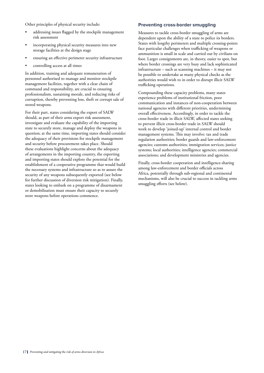Other principles of physical security include:

- addressing issues flagged by the stockpile management risk assessment
- incorporating physical security measures into new storage facilities at the design stage
- ensuring an effective perimeter security infrastructure
- controlling access at all times

In addition, training and adequate remuneration of personnel authorised to manage and monitor stockpile management facilities, together with a clear chain of command and responsibility, are crucial to ensuring professionalism, sustaining morale, and reducing risks of corruption, thereby preventing loss, theft or corrupt sale of stored weapons.

For their part, states considering the export of SALW should, as part of their arms export risk assessment, investigate and evaluate the capability of the importing state to securely store, manage and deploy the weapons in question; at the same time, importing states should consider the adequacy of their provisions for stockpile management and security before procurement takes place. Should these evaluations highlight concerns about the adequacy of arrangements in the importing country, the exporting and importing states should explore the potential for the establishment of a cooperative programme that would build the necessary systems and infrastructure so as to assure the security of any weapons subsequently exported (see below for further discussion of diversion risk mitigation). Finally, states looking to embark on a programme of disarmament or demobilisation must ensure their capacity to securely store weapons before operations commence.

## **Preventing cross-border smuggling**

Measures to tackle cross-border smuggling of arms are dependent upon the ability of a state to police its borders. States with lengthy perimeters and multiple crossing-points face particular challenges when trafficking of weapons or ammunition is small in scale and carried out by civilians on foot. Larger consignments are, in theory, easier to spot, but where border crossings are very busy and lack sophisticated infrastructure – such as scanning machines – it may not be possible to undertake as many physical checks as the authorities would wish to in order to disrupt illicit SALW trafficking operations.

Compounding these capacity problems, many states experience problems of institutional friction, poor communication and instances of non-cooperation between national agencies with different priorities, undermining overall effectiveness. Accordingly, in order to tackle the cross-border trade in illicit SALW, affected states seeking to prevent illicit cross-border trade in SALW should work to develop 'joined-up' internal control and border management systems. This may involve: tax and trade regulation authorities; border guards and law-enforcement agencies; customs authorities; immigration services; justice systems; local authorities; intelligence agencies; commercial associations; and development ministries and agencies.

Finally, cross-border cooperation and intelligence-sharing among law-enforcement and border officials across Africa, potentially through sub-regional and continental mechanisms, will also be crucial to success in tackling arms smuggling efforts (see below).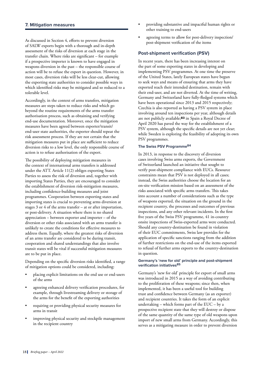As discussed in Section 4, efforts to prevent diversion of SALW exports begin with a thorough and in-depth assessment of the risks of diversion at each stage in the transfer chain. Where risks are significant – for example if a prospective importer is known to have engaged in weapons diversion in the past – the responsible course of action will be to refuse the export in question. However, in most cases, diversion risks will be less clear-cut, allowing the exporting state authorities to consider possible ways in which identified risks may be mitigated and so reduced to a tolerable level.

Accordingly, in the context of arms transfers, mitigation measures are steps taken to reduce risks and which go beyond the routine requirements of the arms transfer authorisation process, such as obtaining and verifying end-use documentation. Moreover, once the mitigation measures have been agreed between exporter/transit/ end-user state authorities, the exporter should repeat the risk assessment process. If they are not certain that the mitigation measures put in place are sufficient to reduce diversion risks to a low level, the only responsible course of action is to refuse authorisation of the export.

The possibility of deploying mitigation measures in the context of international arms transfers is addressed under the ATT. Article 11(2) obliges exporting States Parties to assess the risk of diversion and, together with importing States Parties, they are encouraged to consider the establishment of diversion risk-mitigation measures, including confidence-building measures and joint programmes. Cooperation between exporting states and importing states is crucial to preventing arms diversion at stages 3 or 4 of the arms transfer – at or after importation, or post-delivery. A situation where there is no shared appreciation – between exporter and importer – of the diversion or other risks associated with an arms transfer is unlikely to create the conditions for effective measures to address them. Equally, where the greatest risks of diversion of an arms transfer are considered to be during transit, cooperation and shared understandings that also involve transit states will be vital if successful mitigation measures are to be put in place.

Depending on the specific diversion risks identified, a range of mitigation options could be considered, including:

- placing explicit limitations on the end use or end-users of the arms
- agreeing enhanced delivery verification procedures, for example, through livestreaming delivery or storage of the arms for the benefit of the exporting authorities
- requiring or providing physical security measures for arms in transit
- improving physical security and stockpile management in the recipient country
- providing substantive and impactful human rights or other training to end-users
- agreeing terms to allow for post-delivery inspection/ post-shipment verification of the items

## **Post-shipment verification (PSV)**

In recent years, there has been increasing interest on the part of some exporting states in developing and implementing PSV programmes. At one time the preserve of the United States, lately European states have begun to seek ways and means of ensuring that arms they have exported reach their intended destination, remain with their end-user, and are not diverted. At the time of writing, Germany and Switzerland have fully-fledged systems which have been operational since 2013 and 2015 respectively; Czechia is also reported as having a PSV system in place involving around ten inspections per year, although details are not publicly available;**83** in Spain a Royal Decree of April 2020 has paved the way for the establishment of a PSV system, although the specific details are not yet clear; while Sweden is exploring the feasibility of adopting its own PSV programmes.

## **The Swiss PSV Programme84**

In 2013, in response to the discovery of diversion cases involving Swiss arms exports, the Government of Switzerland launched an initiative that sought to verify post-shipment compliance with EUCs. Resource constraints mean that PSV is not deployed in all cases; instead, the Swiss authorities choose the location for an on-site verification mission based on an assessment of the risks associated with specific arms transfers. This takes into account a number of considerations such as the type of weapons exported, the situation on the ground in the recipient country, the processes and outcomes of previous inspections, and any other relevant incidents. In the first five years of the Swiss PSV programme, 41 in-country onsite inspections of Swiss-exported arms were conducted. Should any country-destination be found in violation of their EUC commitments, Swiss law provides for the application of specific sanctions ranging from the addition of further restrictions on the end-use of the items exported to refusal of further arms exports to the country-destination in question.

#### **Germany's 'new for old' principle and post-shipment verification initiatives85**

Germany's 'new for old' principle for export of small arms was introduced in 2015 as a way of avoiding contributing to the proliferation of these weapons; since then, when implemented, it has been a useful tool for building trust and confidence between Germany (as an exporter) and recipient countries. It takes the form of an explicit undertaking – which forms part of the EUC – by a prospective recipient state that they will destroy or dispose of the same quantity of the same type of old weapons upon import of new small arms from Germany. Accordingly, this serves as a mitigating measure in order to prevent diversion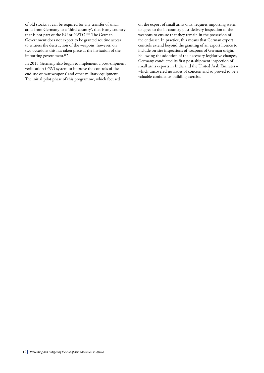of old stocks; it can be required for any transfer of small arms from Germany to a 'third country', that is any country that is not part of the EU or NATO.**86** The German Government does not expect to be granted routine access to witness the destruction of the weapons; however, on two occasions this has taken place at the invitation of the importing government.**<sup>87</sup>**

In 2015 Germany also began to implement a post-shipment verification (PSV) system to improve the controls of the end-use of 'war weapons' and other military equipment. The initial pilot phase of this programme, which focused

on the export of small arms only, requires importing states to agree to the in-country post-delivery inspection of the weapons to ensure that they remain in the possession of the end-user. In practice, this means that German export controls extend beyond the granting of an export licence to include on-site inspections of weapons of German origin. Following the adoption of the necessary legislative changes, Germany conducted its first post-shipment inspection of small arms exports in India and the United Arab Emirates – which uncovered no issues of concern and so proved to be a valuable confidence-building exercise.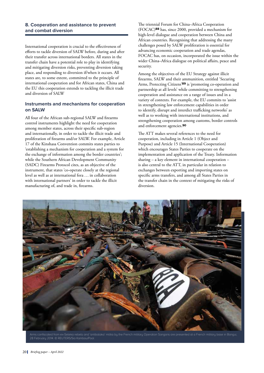## **8. Cooperation and assistance to prevent and combat diversion**

International cooperation is crucial to the effectiveness of efforts to tackle diversion of SALW before, during and after their transfer across international borders. All states in the transfer chain have a potential role to play in identifying and mitigating diversion risks, preventing diversion taking place, and responding to diversion if/when it occurs. All states are, to some extent, committed to the principle of international cooperation and for African states, China and the EU this cooperation extends to tackling the illicit trade and diversion of SALW

# **Instruments and mechanisms for cooperation on SALW**

All four of the African sub-regional SALW and firearms control instruments highlight the need for cooperation among member states, across their specific sub-region and internationally, in order to tackle the illicit trade and proliferation of firearms and/or SALW. For example, Article 17 of the Kinshasa Convention commits states parties to 'establishing a mechanism for cooperation and a system for the exchange of information among the border countries'; while the Southern African Development Community (SADC) Firearms Protocol cites, as an objective of the instrument, that states 'co-operate closely at the regional level as well as at international fora ... in collaboration with international partners' in order to tackle the illicit manufacturing of, and trade in, firearms.

The triennial Forum for China–Africa Cooperation (FOCAC)**88** has, since 2000, provided a mechanism for high-level dialogue and cooperation between China and African countries. Recognising that addressing the many challenges posed by SALW proliferation is essential for advancing economic cooperation and trade agendas, FOCAC has, on occasion, incorporated the issue within the wider China–Africa dialogue on political affairs, peace and security.

Among the objectives of the EU Strategy against illicit firearms, SALW and their ammunition, entitled 'Securing Arms, Protecting Citizens'**89** is 'promoting co-operation and partnership at all levels' while committing to strengthening cooperation and assistance on a range of issues and in a variety of contexts. For example, the EU commits to 'assist in strengthening law enforcement capabilities in order to identify, disrupt and interdict trafficking networks' as well as to working with international institutions, and strengthening cooperation among customs, border controls and enforcement agencies.**<sup>90</sup>**

The ATT makes several references to the need for cooperation, including in Article 1 (Object and Purpose) and Article 15 (International Cooperation) which encourages States Parties to cooperate on the implementation and application of the Treaty. Information sharing – a key element in international cooperation – is also central to the ATT, in particular in relation to exchanges between exporting and importing states on specific arms transfers, and among all States Parties in the transfer chain in the context of mitigating the risks of diversion.

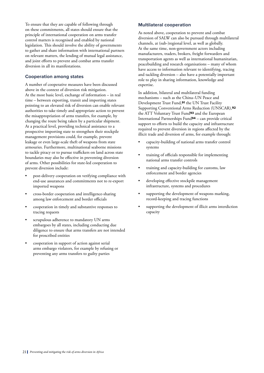To ensure that they are capable of following through on these commitments, all states should ensure that the principle of international cooperation on arms transfer control matters is recognised and enabled by national legislation. This should involve the ability of governments to gather and share information with international partners on relevant matters, the lending of mutual legal assistance, and joint efforts to prevent and combat arms transfer diversion in all its manifestations.

## **Cooperation among states**

A number of cooperative measures have been discussed above in the context of diversion risk mitigation. At the most basic level, exchange of information – in real time – between exporting, transit and importing states pointing to an elevated risk of diversion can enable relevant authorities to take timely and appropriate action to prevent the misappropriation of arms transfers, for example, by changing the route being taken by a particular shipment. At a practical level, providing technical assistance to a prospective importing state to strengthen their stockpile management provisions could, for example, prevent leakage or even large-scale theft of weapons from state armouries. Furthermore, multinational seaborne missions to tackle piracy or to pursue traffickers on land across state boundaries may also be effective in preventing diversion of arms. Other possibilities for state-led cooperation to prevent diversion include:

- post-delivery cooperation on verifying compliance with end-use assurances and commitments not to re-export imported weapons
- cross-border cooperation and intelligence-sharing among law enforcement and border officials
- cooperation in timely and substantive responses to tracing requests
- scrupulous adherence to mandatory UN arms embargoes by all states, including conducting due diligence to ensure that arms transfers are not intended for proscribed entities
- cooperation in support of action against serial arms embargo violators, for example by refusing or preventing any arms transfers to guilty parties

## **Multilateral cooperation**

As noted above, cooperation to prevent and combat diversion of SALW can also be pursued through multilateral channels, at (sub-)regional level, as well as globally. At the same time, non-government actors including manufacturers, traders, brokers, freight forwarders and transportation agents as well as international humanitarian, peacebuilding and research organisations – many of whom have access to information relevant to identifying, tracing and tackling diversion – also have a potentially important role to play in sharing information, knowledge and expertise.

In addition, bilateral and multilateral funding mechanisms – such as the China–UN Peace and Development Trust Fund,**91** the UN Trust Facility Supporting Conventional Arms Reduction (UNSCAR),**<sup>92</sup>** the ATT Voluntary Trust Fund**93** and the European International Partnerships Fund**94** – can provide critical support to efforts to build the capacity and infrastructure required to prevent diversion in regions affected by the illicit trade and diversion of arms, for example through:

- capacity-building of national arms transfer control systems
- training of officials responsible for implementing national arms transfer controls
- training and capacity-building for customs, law enforcement and border agencies
- developing effective stockpile management infrastructure, systems and procedures
- supporting the development of weapons marking, record-keeping and tracing functions
- supporting the development of illicit arms interdiction capacity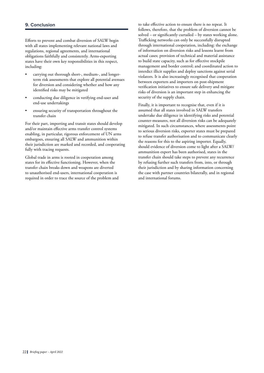Efforts to prevent and combat diversion of SALW begin with all states implementing relevant national laws and regulations, regional agreements, and international obligations faithfully and consistently. Arms-exporting states have their own key responsibilities in this respect, including:

- carrying out thorough short-, medium-, and longerterm risk assessments that explore all potential avenues for diversion and considering whether and how any identified risks may be mitigated
- conducting due diligence in verifying end-user and end-use undertakings
- ensuring security of transportation throughout the transfer chain

For their part, importing and transit states should develop and/or maintain effective arms transfer control systems enabling, in particular, rigorous enforcement of UN arms embargoes, ensuring all SALW and ammunition within their jurisdiction are marked and recorded, and cooperating fully with tracing requests.

Global trade in arms is rooted in cooperation among states for its effective functioning. However, when the transfer chain breaks down and weapons are diverted to unauthorised end-users, international cooperation is required in order to trace the source of the problem and to take effective action to ensure there is no repeat. It follows, therefore, that the problem of diversion cannot be solved – or significantly curtailed – by states working alone. Trafficking networks can only be successfully disrupted through international cooperation, including: the exchange of information on diversion risks and lessons learnt from actual cases; provision of technical and material assistance to build state capacity, such as for effective stockpile management and border control; and coordinated action to interdict illicit supplies and deploy sanctions against serial violators. It is also increasingly recognised that cooperation between exporters and importers on post-shipment verification initiatives to ensure safe delivery and mitigate risks of diversion is an important step in enhancing the security of the supply chain.

Finally, it is important to recognise that, even if it is assumed that all states involved in SALW transfers undertake due diligence in identifying risks and potential counter-measures, not all diversion risks can be adequately mitigated. In such circumstances, where assessments point to serious diversion risks, exporter states must be prepared to refuse transfer authorisation and to communicate clearly the reasons for this to the aspiring importer. Equally, should evidence of diversion come to light after a SALW/ ammunition export has been authorised, states in the transfer chain should take steps to prevent any recurrence by refusing further such transfers from, into, or through their jurisdiction and by sharing information concerning the case with partner countries bilaterally, and in regional and international forums.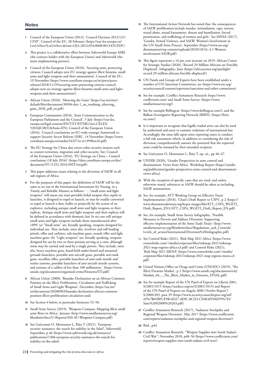### **Notes**

- **1** Council of the European Union (2012), 'Council Decision 2012/121/ CFSP', Council of the EU, 28 February ([https://eur-lex.europa.eu/](https://eur-lex.europa.eu/LexUriServ/LexUriServ.do?uri=OJ:L:2012:054:0008:0013:EN:PDF) [LexUriServ/LexUriServ.do?uri=OJ:L:2012:054:0008:0013:EN:PDF\)](https://eur-lex.europa.eu/LexUriServ/LexUriServ.do?uri=OJ:L:2012:054:0008:0013:EN:PDF)
- **2** This project is a collaborative effort between Saferworld Europe ASBL (the contract holder with the European Union) and Saferworld (the main implementing partner).
- **3** Council of the European Union (2018), 'Securing arms, protecting citizens: Council adopts new EU strategy against illicit firearms, small arms and light weapons and their ammunition', Council of the EU, 19 November [\(https://www.consilium.europa.eu/en/press/press](https://www.consilium.europa.eu/en/press/press-releases/2018/11/19/securing-arms-protecting-citizens-council-adopts-new-eu-strategy-against-illicit-firearms-small-arms-and-light-weapons-and-their-ammunition/)[releases/2018/11/19/securing-arms-protecting-citizens-council](https://www.consilium.europa.eu/en/press/press-releases/2018/11/19/securing-arms-protecting-citizens-council-adopts-new-eu-strategy-against-illicit-firearms-small-arms-and-light-weapons-and-their-ammunition/)[adopts-new-eu-strategy-against-illicit-firearms-small-arms-and-light](https://www.consilium.europa.eu/en/press/press-releases/2018/11/19/securing-arms-protecting-citizens-council-adopts-new-eu-strategy-against-illicit-firearms-small-arms-and-light-weapons-and-their-ammunition/)[weapons-and-their-ammunition/](https://www.consilium.europa.eu/en/press/press-releases/2018/11/19/securing-arms-protecting-citizens-council-adopts-new-eu-strategy-against-illicit-firearms-small-arms-and-light-weapons-and-their-ammunition/))
- **4** African Union (2016), 'Silencing the Guns' ([https://au.int/sites/](https://au.int/sites/default/files/documents/38304-doc-1_au_roadmap_silencing_guns_2020_pdf_en.pdf) [default/files/documents/38304-doc-1\\_au\\_roadmap\\_silencing\\_](https://au.int/sites/default/files/documents/38304-doc-1_au_roadmap_silencing_guns_2020_pdf_en.pdf) [guns\\_2020\\_pdf\\_en.pdf](https://au.int/sites/default/files/documents/38304-doc-1_au_roadmap_silencing_guns_2020_pdf_en.pdf))
- **5** European Commission (2016), 'Joint Communication to the European Parliament and the Council', 5 July ([https://eur-lex.](https://eur-lex.europa.eu/legal-content/EN/TXT/HTML/?uri=CELEX:52016JC0031&from=EN) [europa.eu/legal-content/EN/TXT/HTML/?uri=CELEX:](https://eur-lex.europa.eu/legal-content/EN/TXT/HTML/?uri=CELEX:52016JC0031&from=EN) [52016JC0031&from=EN\)](https://eur-lex.europa.eu/legal-content/EN/TXT/HTML/?uri=CELEX:52016JC0031&from=EN); Council of the European Union (2016), 'Council conclusions on EU-wide strategic framework to support Security Sector Reform (SSR)', 14 November [\(https://www.](https://www.consilium.europa.eu/media/24227/sr-st13998en16.pdf) [consilium.europa.eu/media/24227/sr-st13998en16.pdf\)](https://www.consilium.europa.eu/media/24227/sr-st13998en16.pdf)
- **6** The EU Strategy for China also covers other security matters such as counter-terrorism, migration and cyber-security. See: Council of the European Union (2016), 'EU Strategy on China – Council conclusions (18 July 2016)' ([https://data.consilium.europa.eu/doc/](https://data.consilium.europa.eu/doc/document/ST-11252-2016-INIT/en/pdf) [document/ST-11252-2016-INIT/en/pdf\)](https://data.consilium.europa.eu/doc/document/ST-11252-2016-INIT/en/pdf)
- **7** This paper addresses issues relating to the diversion of SALW in all sub-regions of Africa.
- **8** For the purposes of this paper, the definition of SALW will be the same as set out in the International Instrument for Tracing, in a Timely and Reliable Manner as follows: '…"small arms and light weapons" will mean any man-portable lethal weapon that expels or launches, is designed to expel or launch, or may be readily converted to expel or launch a shot, bullet or projectile by the action of an explosive, excluding antique small arms and light weapons or their replicas. Antique small arms and light weapons and their replicas will be defined in accordance with domestic law. In no case will antique small arms and light weapons include those manufactured after 1899: (a) "Small arms" are, broadly speaking, weapons designed for individual use. They include, inter alia, revolvers and self-loading pistols, rifles and carbines, sub-machine guns, assault rifles and light machine guns; (b) "Light weapons" are, broadly speaking, weapons designed for use by two or three persons serving as a crew, although some may be carried and used by a single person. They include, inter alia, heavy machine guns, hand-held under-barrel and mounted grenade launchers, portable anti-aircraft guns, portable anti-tank guns, recoilless rifles, portable launchers of anti-tank missile and rocket systems, portable launchers of anti-aircraft missile systems, and mortars of a calibre of less than 100 millimetres.' [\(https://www.](https://www.unodc.org/documents/organized-crime/Firearms/ITI.pdf) [unodc.org/documents/organized-crime/Firearms/ITI.pdf](https://www.unodc.org/documents/organized-crime/Firearms/ITI.pdf))
- **9** African Union (2000), 'Bamako Declaration on an African Common Position on the Illicit Proliferation, Circulation and Trafficking of Small Arms and Light Weapons', December [\(https://au.int/](https://au.int/en/documents/20200903/bamako-declaration-african-common-position-illicit-proliferation-circulation-and) [en/documents/20200903/bamako-declaration-african-common](https://au.int/en/documents/20200903/bamako-declaration-african-common-position-illicit-proliferation-circulation-and)[position-illicit-proliferation-circulation-and](https://au.int/en/documents/20200903/bamako-declaration-african-common-position-illicit-proliferation-circulation-and))
- **10** See Section 4 below, in particular footnotes 52–56.
- **11** Small Arms Survey (2019), 'Weapons Compass: Mapping illicit small arms flows in Africa', January ([http://www.smallarmssurvey.org/](http://www.smallarmssurvey.org/fileadmin/docs/U-Reports/SAS-AU-Weapons-Compass.pdf) [fileadmin/docs/U-Reports/SAS-AU-Weapons-Compass.pdf](http://www.smallarmssurvey.org/fileadmin/docs/U-Reports/SAS-AU-Weapons-Compass.pdf))
- **12** See Guiryanan O, Montanaro L, Räty T (2021), 'European security assistance: the search for stability in the Sahel', Saferworld, September, p 46 ([https://www.saferworld.org.uk/resources/](https://www.saferworld.org.uk/resources/publications/1368-european-security-assistance-the-search-for-stability-in-the-sahel) [publications/1368-european-security-assistance-the-search-for](https://www.saferworld.org.uk/resources/publications/1368-european-security-assistance-the-search-for-stability-in-the-sahel)[stability-in-the-sahel](https://www.saferworld.org.uk/resources/publications/1368-european-security-assistance-the-search-for-stability-in-the-sahel))
- **13** The International Action Network has noted that 'the consequences of SALW proliferation include murder, intimidation, rape, torture, sexual abuse, sexual harassment, threats and humiliation, forced prostitution, and trafficking of women and girls.' See IANSA (2017), 'Gender, Armed Violence, and SALW: Women's Involvement in the UN Small Arms Process', September ([https://www.un.org/](https://www.un.org/disarmament/wp-content/uploads/2018/10/16.-4.1-Women-involvement-SALW.pdf) [disarmament/wp-content/uploads/2018/10/16.-4.1-Women](https://www.un.org/disarmament/wp-content/uploads/2018/10/16.-4.1-Women-involvement-SALW.pdf)[involvement-SALW.pdf](https://www.un.org/disarmament/wp-content/uploads/2018/10/16.-4.1-Women-involvement-SALW.pdf))
- **14** This figure represents a 16 per cent increase on 2019. African Center for Strategic Studies (2020), 'Record 29 Million Africans are Forcibly Displaced', Infographic, June ([https://africacenter.org/spotlight/](https://africacenter.org/spotlight/record-29-million-africans-forcibly-displaced/) [record-29-million-africans-forcibly-displaced/\)](https://africacenter.org/spotlight/record-29-million-africans-forcibly-displaced/)
- **15** UN Panels and Groups of Experts have been established under a number of UN Sanctions Committees, see [\(https://www.un.org/](https://www.un.org/securitycouncil/content/repertoire/sanctions-and-other-committees) [securitycouncil/content/repertoire/sanctions-and-other-committees](https://www.un.org/securitycouncil/content/repertoire/sanctions-and-other-committees))
- **16** See for example, Conflict Armament Research: [https://www.](https://www.conflictarm.com/) [conflictarm.com/](https://www.conflictarm.com/) and Small Arms Survey: ([https://www.](https://www.smallarmssurvey.org/) [smallarmssurvey.org/\)](https://www.smallarmssurvey.org/)
- **17** See for example Bellingcat: (https://www.bellingcat.com/); and the Balkan Investigative Reporting Network (BIRN): ([https://birn.](https://birn.eu.com/) [eu.com/](https://birn.eu.com/))
- **18** It is important to recognise that legally traded arms can also be used by authorised end-users to commit violations of international law. Accordingly, the onus falls upon arms exporting states to conduct a full risk assessment which, in addition to considering the risk of diversion, comprehensively assesses the potential that the exported arms could be misused by their intended recipient.
- **19** See Guiryanan O, Montanaro L, Räty T, op. cit., pp 46–47.
- **20** UNDIR (2020), 'Gender Perspectives in arms control and disarmament: Views from Africa', Workshop Report [\(https://unidir.](https://unidir.org/publication/gender-perspectives-arms-control-and-disarmament-views-africa) [org/publication/gender-perspectives-arms-control-and-disarmament](https://unidir.org/publication/gender-perspectives-arms-control-and-disarmament-views-africa)[views-africa\)](https://unidir.org/publication/gender-perspectives-arms-control-and-disarmament-views-africa)
- **21** With the exception of specific cases that are cited, and unless otherwise stated, references to SALW should be taken as including SALW ammunition.
- **22** See, for example, ATT Working Group on Effective Treaty Implementation (2018), 'Chair's Draft Report to CSP4', p 2 [\(https://](https://www.thearmstradetreaty.org/hyper-images/file/ATT_CSP4_WGETI_Draft_Report_EN1/ATT_CSP4_WGETI_Draft_Report_EN.pdf) [www.thearmstradetreaty.org/hyper-images/file/ATT\\_CSP4\\_WGETI\\_](https://www.thearmstradetreaty.org/hyper-images/file/ATT_CSP4_WGETI_Draft_Report_EN1/ATT_CSP4_WGETI_Draft_Report_EN.pdf) [Draft\\_Report\\_EN1/ATT\\_CSP4\\_WGETI\\_Draft\\_Report\\_EN.pdf](https://www.thearmstradetreaty.org/hyper-images/file/ATT_CSP4_WGETI_Draft_Report_EN1/ATT_CSP4_WGETI_Draft_Report_EN.pdf))
- **23** See, for example, Small Arms Survey Infographic, 'Possible Measures to Prevent and Address Diversion: Supporting effective implementation of the Arms Trade Treaty' [\(http://www.](http://www.smallarmssurvey.org/fileadmin/docs/Regulations_and_Controls/Levels_of_action/International/Diversion%20infographic.pdf) [smallarmssurvey.org/fileadmin/docs/Regulations\\_and\\_Controls/](http://www.smallarmssurvey.org/fileadmin/docs/Regulations_and_Controls/Levels_of_action/International/Diversion%20infographic.pdf) [Levels\\_of\\_action/International/Diversion%20infographic.pdf\)](http://www.smallarmssurvey.org/fileadmin/docs/Regulations_and_Controls/Levels_of_action/International/Diversion%20infographic.pdf)
- **24** See Control Risks (2021), 'Risk Map 2021 Africa' ([https://www.](https://www.controlrisks.com/-/media/corporate/files/riskmap-2021/riskmap-2021-map-regions-africa-a3.pdf) [controlrisks.com/-/media/corporate/files/riskmap-2021/riskmap-](https://www.controlrisks.com/-/media/corporate/files/riskmap-2021/riskmap-2021-map-regions-africa-a3.pdf)[2021-map-regions-africa-a3.pdf\)](https://www.controlrisks.com/-/media/corporate/files/riskmap-2021/riskmap-2021-map-regions-africa-a3.pdf) and Control Risks (2021), 'Risk Map 2021 MENA' [\(https://www.controlrisks.com/-/media/](https://www.controlrisks.com/-/media/corporate/files/riskmap-2021/riskmap-2021-map-regions-mena-a3.pdf) [corporate/files/riskmap-2021/riskmap-2021-map-regions-mena-a3.](https://www.controlrisks.com/-/media/corporate/files/riskmap-2021/riskmap-2021-map-regions-mena-a3.pdf) [pdf](https://www.controlrisks.com/-/media/corporate/files/riskmap-2021/riskmap-2021-map-regions-mena-a3.pdf))
- **25** United Nations Office on Drugs and Crime (UNODC) (2019), 'The Illicit Firearms Market', p 2 ([https://www.unodc.org/documents/e4j/](https://www.unodc.org/documents/e4j/Module_04_-_The_Illicit_Market_in_Firearms_FINAL.pdf) [Module\\_04\\_-\\_The\\_Illicit\\_Market\\_in\\_Firearms\\_FINAL.pdf](https://www.unodc.org/documents/e4j/Module_04_-_The_Illicit_Market_in_Firearms_FINAL.pdf))
- **26** See for example Report of the UN Panel of Experts on Liberia 2001, S/2001/1015 ([https://undocs.org/en/S/2001/1015\)](https://undocs.org/en/S/2001/1015) and Report of the UN Panel of Experts on Angola 2000 ['Fowler Report'] S/2000/203, para 39 [\(https://www.securitycouncilreport.org/atf/](https://www.securitycouncilreport.org/atf/cf/%7B65BFCF9B-6D27-4E9C-8CD3-CF6E4FF96FF9%7D/Sanc%20S2000%20203.pdf) [cf/%7B65BFCF9B-6D27-4E9C-8CD3-CF6E4FF96FF9%7D/](https://www.securitycouncilreport.org/atf/cf/%7B65BFCF9B-6D27-4E9C-8CD3-CF6E4FF96FF9%7D/Sanc%20S2000%20203.pdf) [Sanc%20S2000%20203.pdf](https://www.securitycouncilreport.org/atf/cf/%7B65BFCF9B-6D27-4E9C-8CD3-CF6E4FF96FF9%7D/Sanc%20S2000%20203.pdf))
- **27** Conflict Armament Research (2017), 'Sudanese Stockpiles and Regional Weapon Diversion', May 2017 ([https://www.conflictarm.](https://www.conflictarm.com/reports/sudanese-stockpiles-and-regional-weapon-diversion/) [com/reports/sudanese-stockpiles-and-regional-weapon-diversion/\)](https://www.conflictarm.com/reports/sudanese-stockpiles-and-regional-weapon-diversion/)
- **28** Ibid., p44
- **29** Conflict Armament Research, "Weapon Supplies into South Sudan's Civil War", November 2018, p48–56 [\(https://www.conflictarm.com/](https://www.conflictarm.com/reports/weapon-supplies-into-south-sudans-civil-war/) [reports/weapon-supplies-into-south-sudans-civil-war/\)](https://www.conflictarm.com/reports/weapon-supplies-into-south-sudans-civil-war/)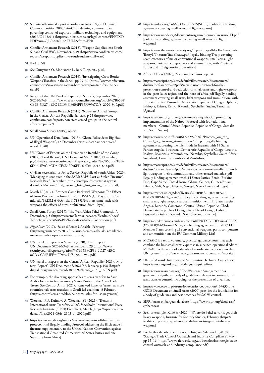- **30** Seventeenth annual report according to Article 8(2) of Council Common Position 2008/944/CFSP defining common rules governing control of exports of military technology and equipment (2016/C 163/01) ([https://eur-lex.europa.eu/legal-content/EN/TXT/](https://eur-lex.europa.eu/legal-content/EN/TXT/PDF/?uri=OJ:C:2016:163:FULL&from=EN) [PDF/?uri=OJ:C:2016:163:FULL&from=EN](https://eur-lex.europa.eu/legal-content/EN/TXT/PDF/?uri=OJ:C:2016:163:FULL&from=EN))
- **31** Conflict Armament Research (2018), 'Weapon Supplies into South Sudan's Civil War', November, p 49 ([https://www.conflictarm.com/](https://www.conflictarm.com/reports/weapon-supplies-into-south-sudans-civil-war/) [reports/weapon-supplies-into-south-sudans-civil-war/\)](https://www.conflictarm.com/reports/weapon-supplies-into-south-sudans-civil-war/)
- **32** Ibid., p 50
- **33** See Guiryanan O, Montanaro L, Räty T, op. cit., p 46.
- **34** Conflict Armament Research (2016), 'Investigating Cross-Border Weapons Transfers in the Sahel', pp 29–30 [\(https://www.conflictarm.](https://www.conflictarm.com/reports/investigating-cross-border-weapon-transfers-in-the-sahel/) [com/reports/investigating-cross-border-weapon-transfers-in-the](https://www.conflictarm.com/reports/investigating-cross-border-weapon-transfers-in-the-sahel/)[sahel/\)](https://www.conflictarm.com/reports/investigating-cross-border-weapon-transfers-in-the-sahel/)
- **35** Report of the UN Panel of Experts on Somalia, September 2020, S/2020/949 ([https://www.securitycouncilreport.org/atf/cf/%7B65BF](https://www.securitycouncilreport.org/atf/cf/%7B65BFCF9B-6D27-4E9C-8CD3-CF6E4FF96FF9%7D/S_2020_949.pdf) [CF9B-6D27-4E9C-8CD3-CF6E4FF96FF9%7D/S\\_2020\\_949.pdf\)](https://www.securitycouncilreport.org/atf/cf/%7B65BFCF9B-6D27-4E9C-8CD3-CF6E4FF96FF9%7D/S_2020_949.pdf)
- **36** Conflict Armament Research (2015), 'Non-state Armed Groups in the Central African Republic' January, p 25 ([https://www.](https://www.conflictarm.com/reports/non-state-armed-groups-in-the-central-african-republic/) [conflictarm.com/reports/non-state-armed-groups-in-the-central](https://www.conflictarm.com/reports/non-state-armed-groups-in-the-central-african-republic/)[african-republic/](https://www.conflictarm.com/reports/non-state-armed-groups-in-the-central-african-republic/))
- **37** Small Arms Survey (2019), op cit.
- **38** UN Operational Data Portal (2015), 'Ghana Police Seize Big Haul of Illegal Weapons', 15 December ([https://data2.unhcr.org/en/](https://data2.unhcr.org/en/news/11840) [news/11840\)](https://data2.unhcr.org/en/news/11840)
- **39** UN Group of Experts on the Democratic Republic of the Congo (2012), 'Final Report', UN Document S/2021/843, November, p 36 ([https://www.securitycouncilreport.org/atf/cf/%7B65BFCF9B-](https://www.securitycouncilreport.org/atf/cf/%7B65BFCF9B-6D27-4E9C-8CD3-CF6E4FF96FF9%7D/s_2012_843.pdf)[6D27-4E9C-8CD3-CF6E4FF96FF9%7D/s\\_2012\\_843.pdf\)](https://www.securitycouncilreport.org/atf/cf/%7B65BFCF9B-6D27-4E9C-8CD3-CF6E4FF96FF9%7D/s_2012_843.pdf)
- **40** Civilian Secretariat for Police Service, Republic of South Africa (2020), 'Managing misconduct in the SAPS: SAPS' Lost & Stolen Firearms', Research Brief, December [\(http://www.policesecretariat.gov.za/](http://www.policesecretariat.gov.za/downloads/reports/final_research_brief_lost_stolen_firearms.pdf) [downloads/reports/final\\_research\\_brief\\_lost\\_stolen\\_firearms.pdf](http://www.policesecretariat.gov.za/downloads/reports/final_research_brief_lost_stolen_firearms.pdf))
- **41** Marsh N (2017), 'Brothers Came Back with Weapons: The Effects of Arms Proliferation from Libya', PRISM 6 (4), May [\(https://cco.](https://cco.ndu.edu/PRISM-6-4/Article/1171858/brothers-came-back-with-weapons-the-effects-of-arms-proliferation-from-libya/) [ndu.edu/PRISM-6-4/Article/1171858/brothers-came-back-with](https://cco.ndu.edu/PRISM-6-4/Article/1171858/brothers-came-back-with-weapons-the-effects-of-arms-proliferation-from-libya/)[weapons-the-effects-of-arms-proliferation-from-libya/](https://cco.ndu.edu/PRISM-6-4/Article/1171858/brothers-came-back-with-weapons-the-effects-of-arms-proliferation-from-libya/))
- **42** Small Arms Survey (2019), 'The West Africa-Sahel Connection', December, p 5 [\(http://www.smallarmssurvey.org/fileadmin/docs/](http://www.smallarmssurvey.org/fileadmin/docs/T-Briefing-Papers/SAS-BP-West-Africa-Sahel-Connection.pdf) [T-Briefing-Papers/SAS-BP-West-Africa-Sahel-Connection.pdf\)](http://www.smallarmssurvey.org/fileadmin/docs/T-Briefing-Papers/SAS-BP-West-Africa-Sahel-Connection.pdf)
- **43** *Niger Inter* (2017), 'Saisie d'Armes à Abalak', February ([http://nigerinter.com/2017/02/saisie-darmes-a-abalak-la-vigilante](http://nigerinter.com/2017/02/saisie-darmes-a-abalak-la-vigilante-manoeuvre-de-la-police-anti-terroriste/)[manoeuvre-de-la-police-anti-terroriste/\)](http://nigerinter.com/2017/02/saisie-darmes-a-abalak-la-vigilante-manoeuvre-de-la-police-anti-terroriste/)
- **44** UN Panel of Experts on Somalia (2020), 'Final Report', UN Document S/2020/949, September, p 29 ([https://www.](https://www.securitycouncilreport.org/atf/cf/%7B65BFCF9B-6D27-4E9C-8CD3-CF6E4FF96FF9%7D/S_2020_949.pdf) [securitycouncilreport.org/atf/cf/%7B65BFCF9B-6D27-4E9C-](https://www.securitycouncilreport.org/atf/cf/%7B65BFCF9B-6D27-4E9C-8CD3-CF6E4FF96FF9%7D/S_2020_949.pdf)[8CD3-CF6E4FF96FF9%7D/S\\_2020\\_949.pdf\)](https://www.securitycouncilreport.org/atf/cf/%7B65BFCF9B-6D27-4E9C-8CD3-CF6E4FF96FF9%7D/S_2020_949.pdf)
- **45** UN Panel of Experts on the Central African Republic (2021), 'Midterm Report', UN Document S/2021/87, January, p 108 [\(https://](https://digitallibrary.un.org/record/3899092/files/S_2021_87-EN.pdf) [digitallibrary.un.org/record/3899092/files/S\\_2021\\_87-EN.pdf\)](https://digitallibrary.un.org/record/3899092/files/S_2021_87-EN.pdf)
- **46** For example, the diverging approaches to arms transfers to Saudi Arabia for use in Yemen among States Parties to the Arms Trade Treaty. See Control Arms (2021), 'Renewed hope for Yemen as more countries halt arms transfers to Saudi-led coalition', 3 February ([https://controlarms.org/blog/halt-arms-sales-for-use-in-yemen/\)](https://controlarms.org/blog/halt-arms-sales-for-use-in-yemen/)
- **47** Wezeman PD, Kuimova A, Wezeman ST (2021), 'Trends in International Arms Transfers, 2020', Stockholm International Peace Research Institute (SIPRI) Fact Sheet, March ([https://sipri.org/sites/](https://sipri.org/sites/default/files/2021-03/fs_2103_at_2020.pdf) [default/files/2021-03/fs\\_2103\\_at\\_2020.pdf](https://sipri.org/sites/default/files/2021-03/fs_2103_at_2020.pdf))
- **48** [https://www.unodc.org/unodc/en/firearms-protocol/the-firearms](https://www.unodc.org/unodc/en/firearms-protocol/the-firearms-protocol.html)[protocol.html](https://www.unodc.org/unodc/en/firearms-protocol/the-firearms-protocol.html) [legally binding Protocol addressing the illicit trade in firearms supplementary to the United Nations Convention against Transnational Organized Crime with 36 States Parties and one Signatory from Africa]
- **49** [https://undocs.org/en/A/CONF.192/15\(SUPP\)](https://undocs.org/en/A/CONF.192/15(SUPP)) [politically binding agreement covering small arms and light weapons]
- **50** <https://www.unodc.org/documents/organized-crime/Firearms/ITI.pdf> [politically binding agreement covering small arms and light weapons]
- **51** [https://www.thearmstradetreaty.org/hyper-images/file/TheArmsTrade](https://www.thearmstradetreaty.org/hyper-images/file/TheArmsTradeTreaty1/TheArmsTradeTreaty.pdf) [Treaty1/TheArmsTradeTreaty.pdf](https://www.thearmstradetreaty.org/hyper-images/file/TheArmsTradeTreaty1/TheArmsTradeTreaty.pdf) [legally binding Treaty covering seven categories of major conventional weapons, small arms, light weapons, parts and components and ammunition, with 28 States Parties and 12 Signatories from Africa]
- **52** African Union (2016), 'Silencing the Guns', op. cit.
- **53** [https://www.sipri.org/sites/default/files/research/disarmament/](https://www.sipri.org/sites/default/files/research/disarmament/dualuse/pdf-archive-att/pdfs/recsa-nairobi-protocol-for-the-prevention-control-and-reduction-of-small-arms-and-light-weapons-in-the-great-lakes-region-and-the-horn-of-africa.pdf) [dualuse/pdf-archive-att/pdfs/recsa-nairobi-protocol-for-the](https://www.sipri.org/sites/default/files/research/disarmament/dualuse/pdf-archive-att/pdfs/recsa-nairobi-protocol-for-the-prevention-control-and-reduction-of-small-arms-and-light-weapons-in-the-great-lakes-region-and-the-horn-of-africa.pdf)[prevention-control-and-reduction-of-small-arms-and-light-weapons](https://www.sipri.org/sites/default/files/research/disarmament/dualuse/pdf-archive-att/pdfs/recsa-nairobi-protocol-for-the-prevention-control-and-reduction-of-small-arms-and-light-weapons-in-the-great-lakes-region-and-the-horn-of-africa.pdf)[in-the-great-lakes-region-and-the-horn-of-africa.pdf](https://www.sipri.org/sites/default/files/research/disarmament/dualuse/pdf-archive-att/pdfs/recsa-nairobi-protocol-for-the-prevention-control-and-reduction-of-small-arms-and-light-weapons-in-the-great-lakes-region-and-the-horn-of-africa.pdf) [legally binding agreement covering small arms, light weapons and ammunition, with 11 States Parties: Burundi, Democratic Republic of Congo, Djibouti, Ethiopia, Eritrea, Kenya, Rwanda, Seychelles, Sudan, Tanzania, Uganda]
- **54** <https://recsasec.org/> [intergovernmental organisation promoting implementation of the Nairobi Protocol with four additional members – Central African Republic, Republic of Congo, Somalia and South Sudan]
- **55** [https://www.sadc.int/files/8613/5292/8361/Protocol\\_on\\_the\\_](https://www.sadc.int/files/8613/5292/8361/Protocol_on_the_Control_of_Firearms_Ammunition2001.pdf) [Control\\_of\\_Firearms\\_Ammunition2001.pdf](https://www.sadc.int/files/8613/5292/8361/Protocol_on_the_Control_of_Firearms_Ammunition2001.pdf) [legally binding agreement addressing the illicit trade in firearms with 14 States Parties: Angola, Botswana, Democratic Republic of Congo, Lesotho, Malawi, Mauritius, Mozambique, Namibia, Seychelles, South Africa, Swaziland, Tanzania, Zambia and Zimbabwe]
- **56** [https://www.sipri.org/sites/default/files/research/disarmament/](https://www.sipri.org/sites/default/files/research/disarmament/dualuse/pdf-archive-att/pdfs/ecowas-convention-on-small-arms-and-light-weapons-their-ammunition-and-other-related-materials.pdf) [dualuse/pdf-archive-att/pdfs/ecowas-convention-on-small-arms-and](https://www.sipri.org/sites/default/files/research/disarmament/dualuse/pdf-archive-att/pdfs/ecowas-convention-on-small-arms-and-light-weapons-their-ammunition-and-other-related-materials.pdf)[light-weapons-their-ammunition-and-other-related-materials.pdf](https://www.sipri.org/sites/default/files/research/disarmament/dualuse/pdf-archive-att/pdfs/ecowas-convention-on-small-arms-and-light-weapons-their-ammunition-and-other-related-materials.pdf) [legally binding agreement with 14 States Parties: Benin, Burkina Faso, Cape Verde, Côte d'Ivoire, Ghana, Guinea, Guinea-Bissau, Liberia, Mali, Niger, Nigeria, Senegal, Sierra Leone and Togo]
- **57** [https://treaties.un.org/doc/Treaties/2010/04/20100430%20](https://treaties.un.org/doc/Treaties/2010/04/20100430%2001-12%20PM/Ch_xxvi-7.pdf) [01-12%20PM/Ch\\_xxvi-7.pdf](https://treaties.un.org/doc/Treaties/2010/04/20100430%2001-12%20PM/Ch_xxvi-7.pdf) [legally binding agreement covering small arms, light weapons and ammunition, with 11 States Parties: Angola, Burundi, Cameroon, Central African Republic, Chad, Democratic Republic of Congo, Republic of Congo, Gabon, Equatorial Guinea, Rwanda, Sao Tome and Principe]
- **58** [https://eur-lex.europa.eu/legal-content/EN/TXT/PDF/?uri=CELEX:](https://eur-lex.europa.eu/legal-content/EN/TXT/PDF/?uri=CELEX:32008E0944&from=EN) [32008E0944&from=EN](https://eur-lex.europa.eu/legal-content/EN/TXT/PDF/?uri=CELEX:32008E0944&from=EN) [legally binding agreement for all 27 EU Member States covering all conventional weapons, parts, components and ammunition on the EU Common Military List]
- **59** MOSAIC is a set of voluntary, practical guidance notes that each combine the best small-arms expertise in succinct, operational advice. MOSAIC is the result of a decade of coordinated work within the UN system. (h[ttps://www.un.org/disarmament/convarms/mosaic/\)](ttps://www.un.org/disarmament/convarms/mosaic/)
- **60** UN SaferGuard: International Ammunition Technical Guidelines: <https://unsaferguard.org/un-saferguard/guide-lines>
- **61** <https://www.wassenaar.org/>The Wassenaar Arrangement has generated a significant body of guidelines relevant to conventional arms transfer control, including for the prevention of diversion.
- **62** <https://www.osce.org/forum-for-security-cooperation/107435>The OSCE Document on Small Arms (2000) provides the foundation for a body of guidelines and best practices for SALW control.
- **63** SIPRI 'Arms embargoes' database [\(https://www.sipri.org/databases/](https://www.sipri.org/databases/embargoes) [embargoes\)](https://www.sipri.org/databases/embargoes)
- **64** See, for example, Koné H (2020), 'Where do Sahel terrorist get their heavy weapons', Institute for Security Studies, February ([https://](https://issafrica.org/iss-today/where-do-sahel-terrorists-get-their-heavy-weapons) [issafrica.org/iss-today/where-do-sahel-terrorists-get-their-heavy](https://issafrica.org/iss-today/where-do-sahel-terrorists-get-their-heavy-weapons)[weapons\)](https://issafrica.org/iss-today/where-do-sahel-terrorists-get-their-heavy-weapons)
- **65** For further details on entity watch lists, see Saferworld (2019), 'Strategic Trade Control Outreach and Industry Compliance', May, pp 15–16 ([https://www.saferworld.org.uk/downloads/strategic-trade](https://www.saferworld.org.uk/downloads/strategic-trade-control-outreach-and-industry-compliance.pdf)[control-outreach-and-industry-compliance.pdf](https://www.saferworld.org.uk/downloads/strategic-trade-control-outreach-and-industry-compliance.pdf))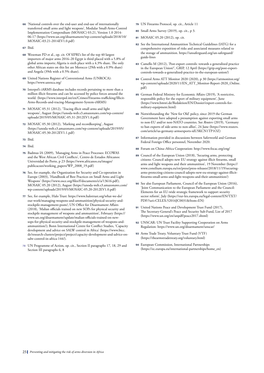- **66** 'National controls over the end-user and end-use of internationally transferred small arms and light weapons', Modular Small-Arms-Control Implementation Compendium (MOSAIC) 03.21, Version 1.0 2014- 06-17 [\(https://www.un.org/disarmament/wp-content/uploads/2018/10/](https://www.un.org/disarmament/wp-content/uploads/2018/10/MOSAIC-03.21-2014EV1.0.pdf) [MOSAIC-03.21-2014EV1.0.pdf](https://www.un.org/disarmament/wp-content/uploads/2018/10/MOSAIC-03.21-2014EV1.0.pdf))
- **67** Ibid.
- **68** Wezeman PD et al., op. cit. Of SIPRI's list of the top 40 largest importers of major arms 2016–20 Egypt is third placed with a 5.8% of global arms imports; Algeria is sixth place with a 4.3% share. The only other African states on this list are Morocco (29th with a 0.9% share) and Angola (39th with a 0.5% share).
- **69** United Nations Register of Conventional Arms (UNROCA): <https://www.unroca.org/>
- **70** Interpol's iARMS database includes records pertaining to more than a million illicit firearms and can be accessed by police forces around the world. ([https://www.interpol.int/en/Crimes/Firearms-trafficking/Illicit-](https://www.interpol.int/en/Crimes/Firearms-trafficking/Illicit-Arms-Records-and-tracing-Management-System-iARMS)[Arms-Records-and-tracing-Management-System-iARMS\)](https://www.interpol.int/en/Crimes/Firearms-trafficking/Illicit-Arms-Records-and-tracing-Management-System-iARMS)
- **71** MOSAIC 05.31 (2012), 'Tracing illicit small arms and light weapons', August [\(https://unoda-web.s3.amazonaws.com/wp-content/](https://unoda-web.s3.amazonaws.com/wp-content/uploads/2019/05/MOSAIC-05.31-2012EV1.0.pdf) [uploads/2019/05/MOSAIC-05.31-2012EV1.0.pdf](https://unoda-web.s3.amazonaws.com/wp-content/uploads/2019/05/MOSAIC-05.31-2012EV1.0.pdf))
- **72** MOSAIC 05.30 (2012), 'Marking and recordkeeping', August ([https://unoda-web.s3.amazonaws.com/wp-content/uploads/2019/05/](https://unoda-web.s3.amazonaws.com/wp-content/uploads/2019/05/MOSAIC-05.30-2012EV1.1.pdf) [MOSAIC-05.30-2012EV1.1.pdf](https://unoda-web.s3.amazonaws.com/wp-content/uploads/2019/05/MOSAIC-05.30-2012EV1.1.pdf))
- **73** Ibid.
- **74** Ibid.
- **75** Badmus IA (2009), 'Managing Arms in Peace Processes: ECOWAS and the West African Civil Conflicts', Centro de Estudos Africanos: Universidad do Porto, p 23 [\(https://www.africanos.eu/images/](https://www.africanos.eu/images/publicacoes/working_papers/WP_2008_19.pdf) [publicacoes/working\\_papers/WP\\_2008\\_19.pdf](https://www.africanos.eu/images/publicacoes/working_papers/WP_2008_19.pdf))
- **76** See, for example, the Organization for Security and Co-operation in Europe (2003), 'Handbook of Best Practices on Small Arms and Light Weapons' (<https://www.osce.org/files/f/documents/e/a/13616.pdf>); MOSAIC 05.20 (2012), August ([https://unoda-web.s3.amazonaws.com/](https://unoda-web.s3.amazonaws.com/wp-content/uploads/2019/05/MOSAIC-05.20-2012EV1.0.pdf) [wp-content/uploads/2019/05/MOSAIC-05.20-2012EV1.0.pdf](https://unoda-web.s3.amazonaws.com/wp-content/uploads/2019/05/MOSAIC-05.20-2012EV1.0.pdf))
- **77** See, for example, Halo Trust: [https://www.halotrust.org/what-we-do/](https://www.halotrust.org/what-we-do/our-work/managing-weapons-and-ammunition/physical-security-and-stockpile-management-pssm/) [our-work/managing-weapons-and-ammunition/physical-security-and](https://www.halotrust.org/what-we-do/our-work/managing-weapons-and-ammunition/physical-security-and-stockpile-management-pssm/)[stockpile-management-pssm/;](https://www.halotrust.org/what-we-do/our-work/managing-weapons-and-ammunition/physical-security-and-stockpile-management-pssm/) UN Office for Disarmament Affairs (2018), 'Malian officials trained on new SOPs for physical security and stockpile management of weapons and ammunition', February ([https://](https://www.un.org/disarmament/update/malian-officials-trained-on-new-sops-for-physical-security-and-stockpile-management-of-weapons-and-ammunition/) [www.un.org/disarmament/update/malian-officials-trained-on-new](https://www.un.org/disarmament/update/malian-officials-trained-on-new-sops-for-physical-security-and-stockpile-management-of-weapons-and-ammunition/)[sops-for-physical-security-and-stockpile-management-of-weapons-and](https://www.un.org/disarmament/update/malian-officials-trained-on-new-sops-for-physical-security-and-stockpile-management-of-weapons-and-ammunition/)[ammunition/\)](https://www.un.org/disarmament/update/malian-officials-trained-on-new-sops-for-physical-security-and-stockpile-management-of-weapons-and-ammunition/); Bonn International Centre for Conflict Studies, 'Capacity development and advice on SALW control in Africa' ([https://www.bicc.](https://www.bicc.de/research-clusters/project/project/capacity-development-and-advice-on-salw-control-in-africa-144/) [de/research-clusters/project/project/capacity-development-and-advice-on](https://www.bicc.de/research-clusters/project/project/capacity-development-and-advice-on-salw-control-in-africa-144/)[salw-control-in-africa-144/](https://www.bicc.de/research-clusters/project/project/capacity-development-and-advice-on-salw-control-in-africa-144/)).
- **78** UN Programme of Action, op. cit., Section II paragraphs 17, 18, 29 and Section III paragraphs 6, 8
- **79** UN Firearms Protocol, op. cit., Article 11
- **80** Small Arms Survey (2019), op. cit., p 3.
- **81** MOSAIC 05.20 (2012), op. cit.
- **82** See the International Ammunition Technical Guidelines (IATG) for a comprehensive exposition of risks and associated measures related to the storage of ammunition. [https://unsaferguard.org/un-saferguard/](https://unsaferguard.org/un-saferguard/guide-lines) [guide-lines](https://unsaferguard.org/un-saferguard/guide-lines)
- **83** Camello M (2012), 'Post-export controls: towards a generalized practice in the European Union?', GRIP, 12 April ([https://grip.org/post-export](https://grip.org/post-export-controls-towards-a-generalized-practice-in-the-european-union/)[controls-towards-a-generalized-practice-in-the-european-union/\)](https://grip.org/post-export-controls-towards-a-generalized-practice-in-the-european-union/)
- **84** Control Arms ATT Monitor 2020 (2020), p 30 ([https://attmonitor.org/](https://attmonitor.org/wp-content/uploads/2020/11/EN_ATT_Monitor-Report-2020_Online.pdf) [wp-content/uploads/2020/11/EN\\_ATT\\_Monitor-Report-2020\\_Online.](https://attmonitor.org/wp-content/uploads/2020/11/EN_ATT_Monitor-Report-2020_Online.pdf) [pdf\)](https://attmonitor.org/wp-content/uploads/2020/11/EN_ATT_Monitor-Report-2020_Online.pdf)
- **85** German Federal Ministry for Economic Affairs (2019), 'A restrictive, responsible policy for the export of military equipment', June [\(https://www.bmwi.de/Redaktion/EN/Dossier/export-controls-for](https://www.bmwi.de/Redaktion/EN/Dossier/export-controls-for-military-equipment.html)[military-equipment.html\)](https://www.bmwi.de/Redaktion/EN/Dossier/export-controls-for-military-equipment.html)
- **86** Notwithstanding the 'New for Old' policy, since 2019 the German Government have adopted a presumption against exporting small arms to non-EU and/or non-NATO countries. See *Reuters* (2019), 'Germany to ban exports of side-arms to non-allies', 24 June [\(https://www.reuters.](https://www.reuters.com/article/us-germany-armsexports-idUSKCN1TP1OZ) [com/article/us-germany-armsexports-idUSKCN1TP1OZ](https://www.reuters.com/article/us-germany-armsexports-idUSKCN1TP1OZ))
- **87** Information provided in discussions between Saferworld and German Federal Foreign Office personnel, November 2020.
- **88** Forum on China–Africa Cooperation:<http://www.focac.org/eng/>
- **89** Council of the European Union (2018), 'Securing arms, protecting citizens: Council adopts new EU strategy against illicit firearms, small arms and light weapons and their ammunition', 19 November [\(https://](https://www.consilium.europa.eu/en/press/press-releases/2018/11/19/securing-arms-protecting-citizens-council-adopts-new-eu-strategy-against-illicit-firearms-small-arms-and-light-weapons-and-their-ammunition/) [www.consilium.europa.eu/en/press/press-releases/2018/11/19/securing](https://www.consilium.europa.eu/en/press/press-releases/2018/11/19/securing-arms-protecting-citizens-council-adopts-new-eu-strategy-against-illicit-firearms-small-arms-and-light-weapons-and-their-ammunition/)[arms-protecting-citizens-council-adopts-new-eu-strategy-against-illicit](https://www.consilium.europa.eu/en/press/press-releases/2018/11/19/securing-arms-protecting-citizens-council-adopts-new-eu-strategy-against-illicit-firearms-small-arms-and-light-weapons-and-their-ammunition/)[firearms-small-arms-and-light-weapons-and-their-ammunition/\)](https://www.consilium.europa.eu/en/press/press-releases/2018/11/19/securing-arms-protecting-citizens-council-adopts-new-eu-strategy-against-illicit-firearms-small-arms-and-light-weapons-and-their-ammunition/)
- **90** See also European Parliament, Council of the European Union (2016), 'Joint Communication to the European Parliament and the Council: Elements for an EU-wide strategic framework to support security sector reform', July [\(https://eur-lex.europa.eu/legal-content/EN/TXT/](https://eur-lex.europa.eu/legal-content/EN/TXT/PDF/?uri=CELEX:52016JC0031&from=EN) [PDF/?uri=CELEX:52016JC0031&from=EN\)](https://eur-lex.europa.eu/legal-content/EN/TXT/PDF/?uri=CELEX:52016JC0031&from=EN)
- **91** United Nations Peace and Development Trust Fund (2017), The Secretary-General's Peace and Security Sub-Fund, List of 2017 [\(https://www.un.org/en/unpdf/peace2017.shtml\)](https://www.un.org/en/unpdf/peace2017.shtml)
- **92** UNSCAR: UN Trust Facility Supporting Cooperation on Arms Regulation:<https://www.un.org/disarmament/unscar/>
- **93** Arms Trade Treaty, Voluntary Trust Fund (VTF) [\(https://thearmstradetreaty.org/voluntary.html](https://thearmstradetreaty.org/voluntary.html))
- **94** European Commission, International Partnerships [\(https://ec.europa.eu/international-partnerships/home\\_en\)](https://ec.europa.eu/international-partnerships/home_en)